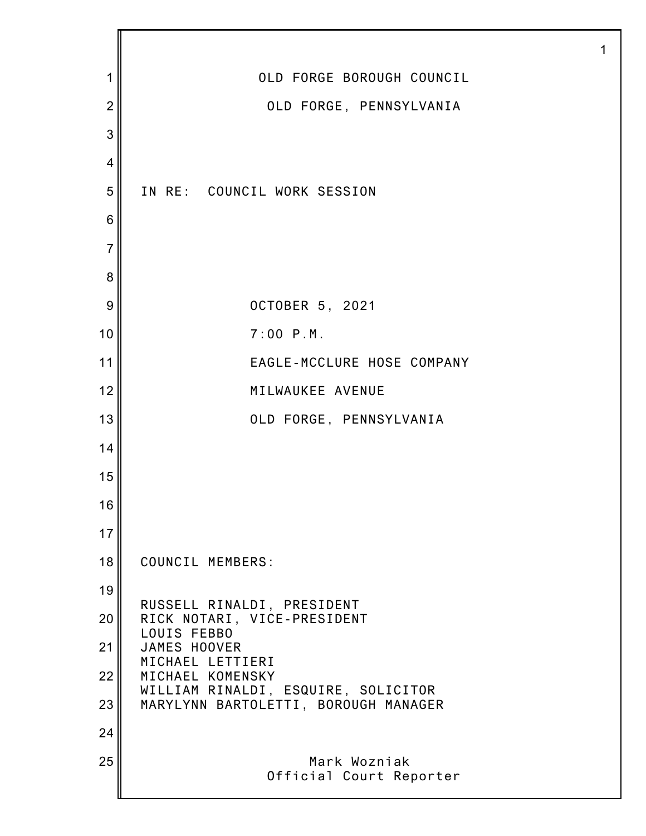| 1              | OLD FORGE BOROUGH COUNCIL                               |
|----------------|---------------------------------------------------------|
| $\overline{2}$ | OLD FORGE, PENNSYLVANIA                                 |
| 3              |                                                         |
| 4              |                                                         |
| 5              | IN RE: COUNCIL WORK SESSION                             |
| 6              |                                                         |
| $\overline{7}$ |                                                         |
| 8              |                                                         |
| 9              | OCTOBER 5, 2021                                         |
| 10             | $7:00$ $P.M.$                                           |
| 11             | EAGLE-MCCLURE HOSE COMPANY                              |
| 12             | MILWAUKEE AVENUE                                        |
| 13             | OLD FORGE, PENNSYLVANIA                                 |
| 14             |                                                         |
| 15             |                                                         |
| 16             |                                                         |
| 17             |                                                         |
| 18             | COUNCIL MEMBERS:                                        |
| 19             | RUSSELL RINALDI, PRESIDENT                              |
| 20             | RICK NOTARI, VICE-PRESIDENT<br>LOUIS FEBBO              |
| 21             | JAMES HOOVER<br>MICHAEL LETTIERI                        |
| 22             | MICHAEL KOMENSKY<br>WILLIAM RINALDI, ESQUIRE, SOLICITOR |
| 23             | MARYLYNN BARTOLETTI, BOROUGH MANAGER                    |
| 24             |                                                         |
| 25             | Mark Wozniak<br>Official Court Reporter                 |
|                |                                                         |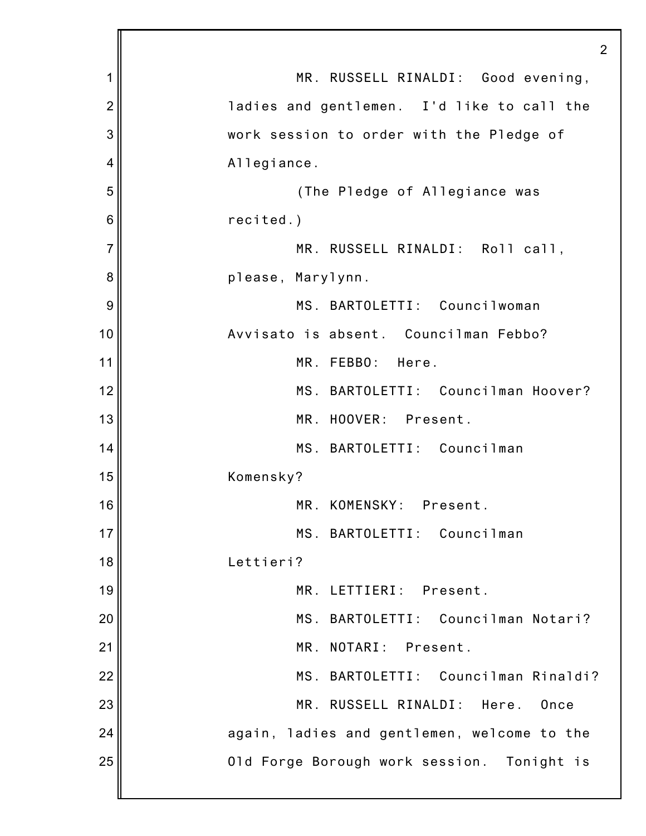|                | 2                                           |
|----------------|---------------------------------------------|
| 1              | MR. RUSSELL RINALDI: Good evening,          |
| $\overline{2}$ | ladies and gentlemen. I'd like to call the  |
| 3              | work session to order with the Pledge of    |
| 4              | Allegiance.                                 |
| 5              | (The Pledge of Allegiance was               |
| 6              | recited.)                                   |
| 7              | MR. RUSSELL RINALDI: Roll call,             |
| 8              | please, Marylynn.                           |
| 9              | MS. BARTOLETTI: Councilwoman                |
| 10             | Avvisato is absent. Councilman Febbo?       |
| 11             | MR. FEBBO:<br>Here.                         |
| 12             | MS. BARTOLETTI: Councilman Hoover?          |
| 13             | MR. HOOVER: Present.                        |
| 14             | MS. BARTOLETTI: Councilman                  |
| 15             | Komensky?                                   |
| 16             | MR. KOMENSKY: Present.                      |
| 17             | MS. BARTOLETTI: Councilman                  |
| 18             | Lettieri?                                   |
| 19             | MR. LETTIERI: Present.                      |
| 20             | MS. BARTOLETTI: Councilman Notari?          |
| 21             | MR. NOTARI: Present.                        |
| 22             | MS. BARTOLETTI: Councilman Rinaldi?         |
| 23             | MR. RUSSELL RINALDI:<br>Here.<br>Once       |
| 24             | again, ladies and gentlemen, welcome to the |
| 25             | Old Forge Borough work session. Tonight is  |
|                |                                             |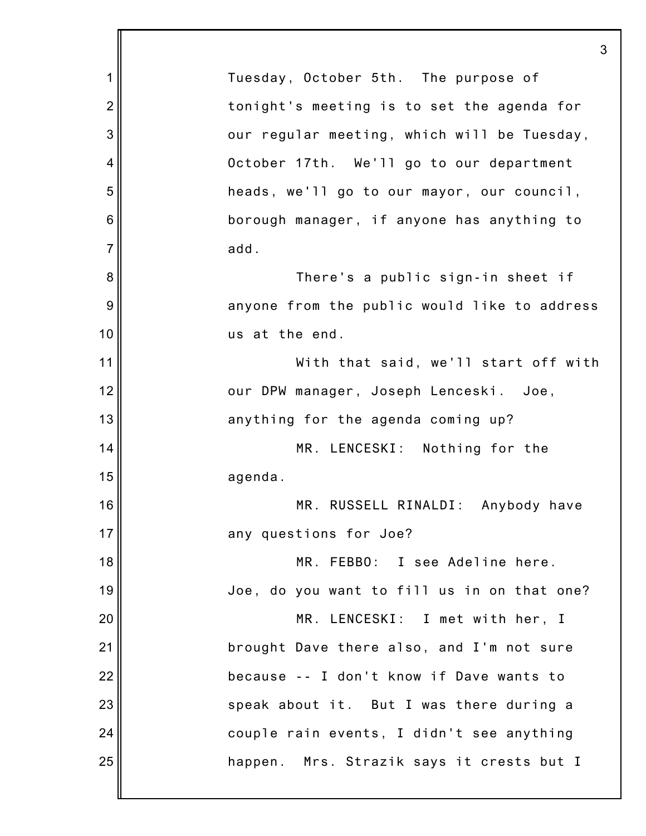|                | 3                                            |
|----------------|----------------------------------------------|
| 1              | Tuesday, October 5th. The purpose of         |
| $\overline{2}$ | tonight's meeting is to set the agenda for   |
| 3              | our regular meeting, which will be Tuesday,  |
| 4              | October 17th. We'll go to our department     |
| 5              | heads, we'll go to our mayor, our council,   |
| 6              | borough manager, if anyone has anything to   |
| $\overline{7}$ | add.                                         |
| 8              | There's a public sign-in sheet if            |
| 9              | anyone from the public would like to address |
| 10             | us at the end.                               |
| 11             | With that said, we'll start off with         |
| 12             | our DPW manager, Joseph Lenceski. Joe,       |
| 13             | anything for the agenda coming up?           |
| 14             | MR. LENCESKI: Nothing for the                |
| 15             | agenda.                                      |
| 16             | MR. RUSSELL RINALDI: Anybody have            |
| 17             | any questions for Joe?                       |
| 18             | MR. FEBBO: I see Adeline here.               |
| 19             | Joe, do you want to fill us in on that one?  |
| 20             | MR. LENCESKI: I met with her, I              |
| 21             | brought Dave there also, and I'm not sure    |
| 22             | because -- I don't know if Dave wants to     |
| 23             | speak about it. But I was there during a     |
| 24             | couple rain events, I didn't see anything    |
| 25             | happen. Mrs. Strazik says it crests but I    |
|                |                                              |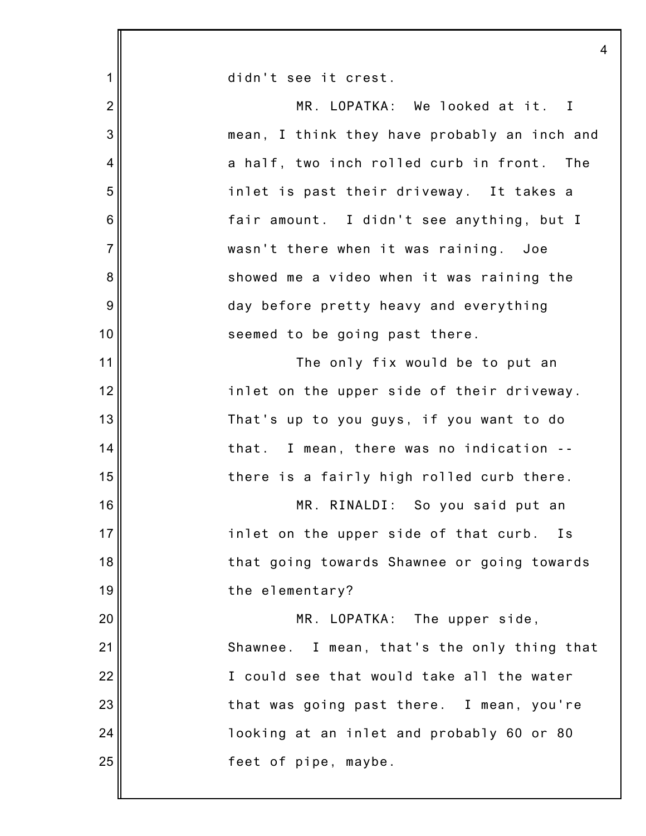|                | 4                                            |
|----------------|----------------------------------------------|
| 1              | didn't see it crest.                         |
| $\overline{2}$ | MR. LOPATKA: We looked at it. I              |
| 3              | mean, I think they have probably an inch and |
| 4              | a half, two inch rolled curb in front. The   |
| 5              | inlet is past their driveway. It takes a     |
| 6              | fair amount. I didn't see anything, but I    |
| $\overline{7}$ | wasn't there when it was raining. Joe        |
| 8              | showed me a video when it was raining the    |
| 9              | day before pretty heavy and everything       |
| 10             | seemed to be going past there.               |
| 11             | The only fix would be to put an              |
| 12             | inlet on the upper side of their driveway.   |
| 13             | That's up to you guys, if you want to do     |
| 14             | I mean, there was no indication --<br>that.  |
| 15             | there is a fairly high rolled curb there.    |
| 16             | MR. RINALDI: So you said put an              |
| 17             | inlet on the upper side of that curb.<br>I s |
| 18             | that going towards Shawnee or going towards  |
| 19             | the elementary?                              |
| 20             | MR. LOPATKA: The upper side,                 |
| 21             | Shawnee. I mean, that's the only thing that  |
| 22             | I could see that would take all the water    |
| 23             | that was going past there. I mean, you're    |
| 24             | looking at an inlet and probably 60 or 80    |
| 25             | feet of pipe, maybe.                         |
|                |                                              |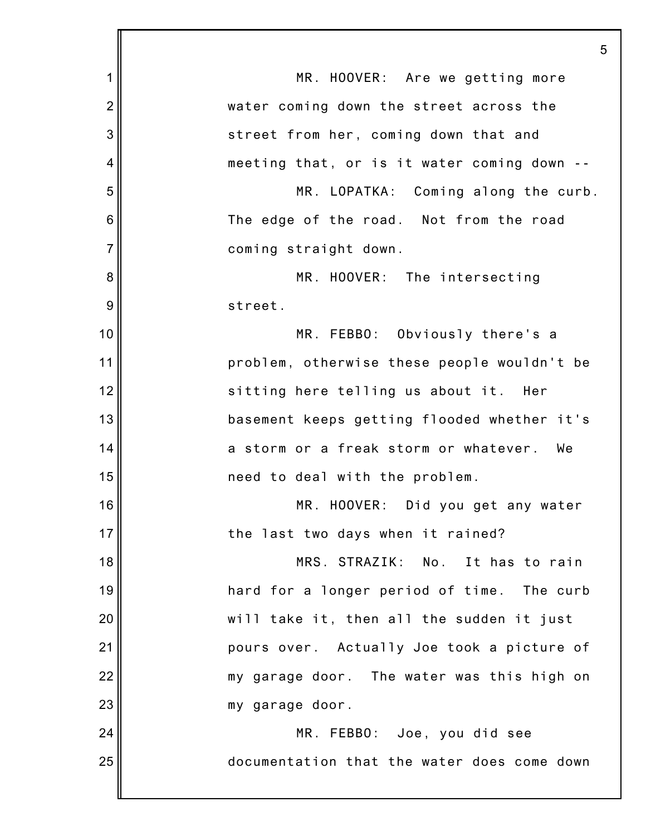1 2 3 4 5 6 7 8 9 10 11 12 13 14 15 16 17 18 19 20 21 22 23 24 25 5 MR. HOOVER: Are we getting more water coming down the street across the street from her, coming down that and meeting that, or is it water coming down -- MR. LOPATKA: Coming along the curb. The edge of the road. Not from the road coming straight down. MR. HOOVER: The intersecting street. MR. FEBBO: Obviously there's a problem, otherwise these people wouldn't be sitting here telling us about it. Her basement keeps getting flooded whether it's a storm or a freak storm or whatever. We need to deal with the problem. MR. HOOVER: Did you get any water the last two days when it rained? MRS. STRAZIK: No. It has to rain hard for a longer period of time. The curb will take it, then all the sudden it just pours over. Actually Joe took a picture of my garage door. The water was this high on my garage door. MR. FEBBO: Joe, you did see documentation that the water does come down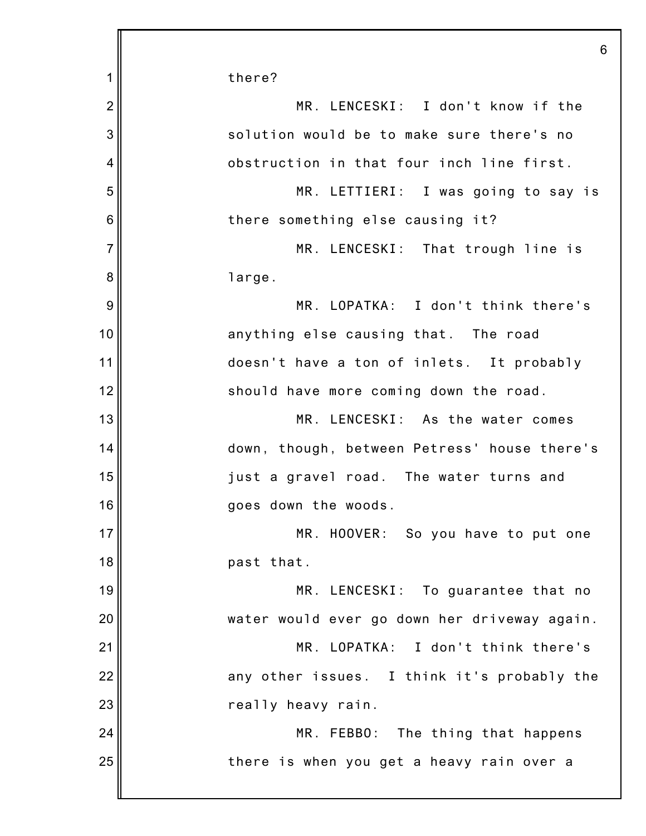|                | 6                                            |
|----------------|----------------------------------------------|
| 1              | there?                                       |
| $\overline{2}$ | MR. LENCESKI: I don't know if the            |
| 3              | solution would be to make sure there's no    |
| 4              | obstruction in that four inch line first.    |
| 5              | MR. LETTIERI: I was going to say is          |
| 6              | there something else causing it?             |
| $\overline{7}$ | MR. LENCESKI: That trough line is            |
| 8              | large.                                       |
| 9              | MR. LOPATKA: I don't think there's           |
| 10             | anything else causing that. The road         |
| 11             | doesn't have a ton of inlets. It probably    |
| 12             | should have more coming down the road.       |
| 13             | MR. LENCESKI: As the water comes             |
| 14             | down, though, between Petress' house there's |
| 15             | just a gravel road. The water turns and      |
| 16             | goes down the woods.                         |
| 17             | MR. HOOVER: So you have to put one           |
| 18             | past that.                                   |
| 19             | MR. LENCESKI: To guarantee that no           |
| 20             | water would ever go down her driveway again. |
| 21             | MR. LOPATKA: I don't think there's           |
| 22             | any other issues. I think it's probably the  |
| 23             | really heavy rain.                           |
| 24             | MR. FEBBO: The thing that happens            |
| 25             | there is when you get a heavy rain over a    |
|                |                                              |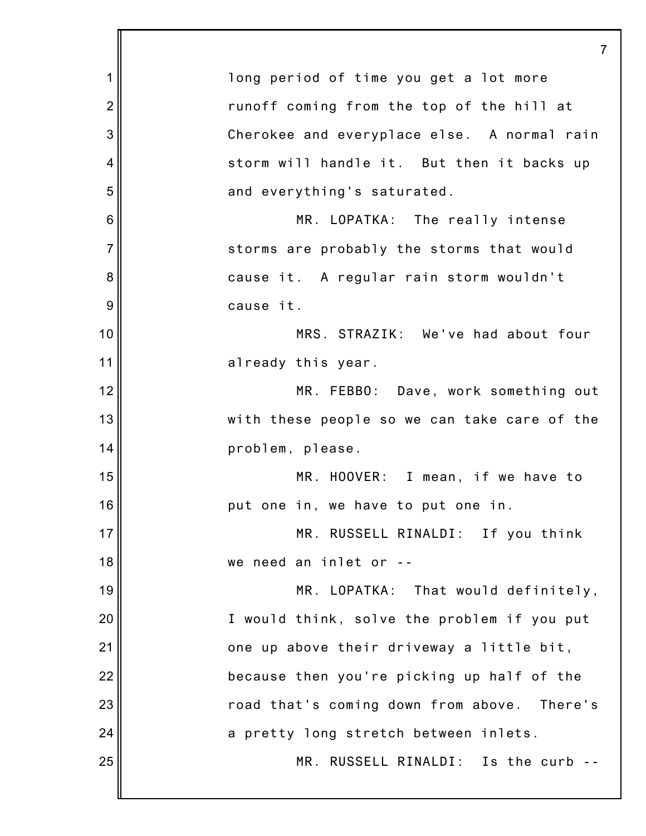1 2 3 4 5 6 7 8 9 10 11 12 13 14 15 16 17 18 19 20 21 22 23 24 25 7 long period of time you get a lot more runoff coming from the top of the hill at Cherokee and everyplace else. A normal rain storm will handle it. But then it backs up and everything's saturated. MR. LOPATKA: The really intense storms are probably the storms that would cause it. A regular rain storm wouldn't cause it. MRS. STRAZIK: We've had about four already this year. MR. FEBBO: Dave, work something out with these people so we can take care of the problem, please. MR. HOOVER: I mean, if we have to put one in, we have to put one in. MR. RUSSELL RINALDI: If you think we need an inlet or -- MR. LOPATKA: That would definitely, I would think, solve the problem if you put one up above their driveway a little bit, because then you're picking up half of the road that's coming down from above. There's a pretty long stretch between inlets. MR. RUSSELL RINALDI: Is the curb --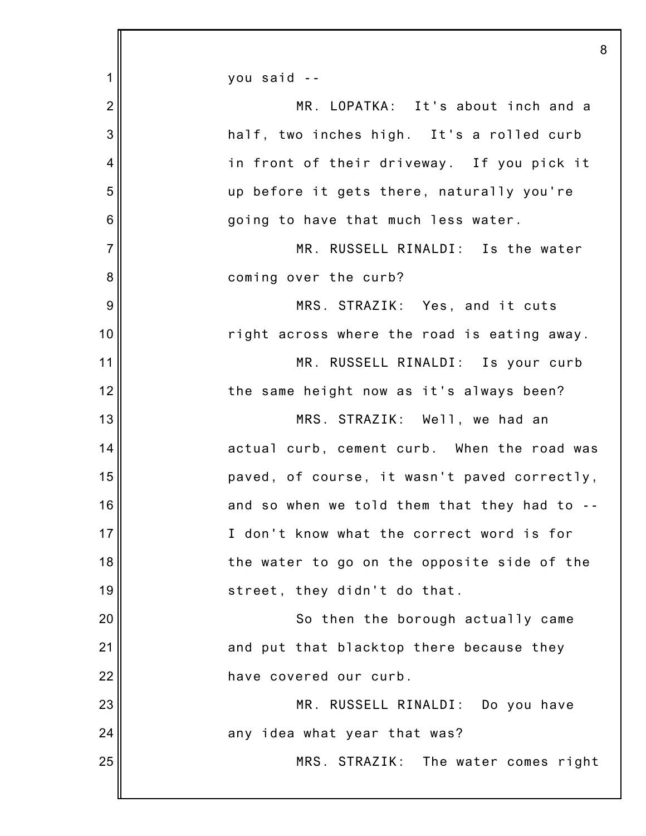1 2 3 4 5 6 7 8 9 10 11 12 13 14 15 16 17 18 19 20 21 22 23 24 25 8 you said -- MR. LOPATKA: It's about inch and a half, two inches high. It's a rolled curb in front of their driveway. If you pick it up before it gets there, naturally you're going to have that much less water. MR. RUSSELL RINALDI: Is the water coming over the curb? MRS. STRAZIK: Yes, and it cuts right across where the road is eating away. MR. RUSSELL RINALDI: Is your curb the same height now as it's always been? MRS. STRAZIK: Well, we had an actual curb, cement curb. When the road was paved, of course, it wasn't paved correctly, and so when we told them that they had to -- I don't know what the correct word is for the water to go on the opposite side of the street, they didn't do that. So then the borough actually came and put that blacktop there because they have covered our curb. MR. RUSSELL RINALDI: Do you have any idea what year that was? MRS. STRAZIK: The water comes right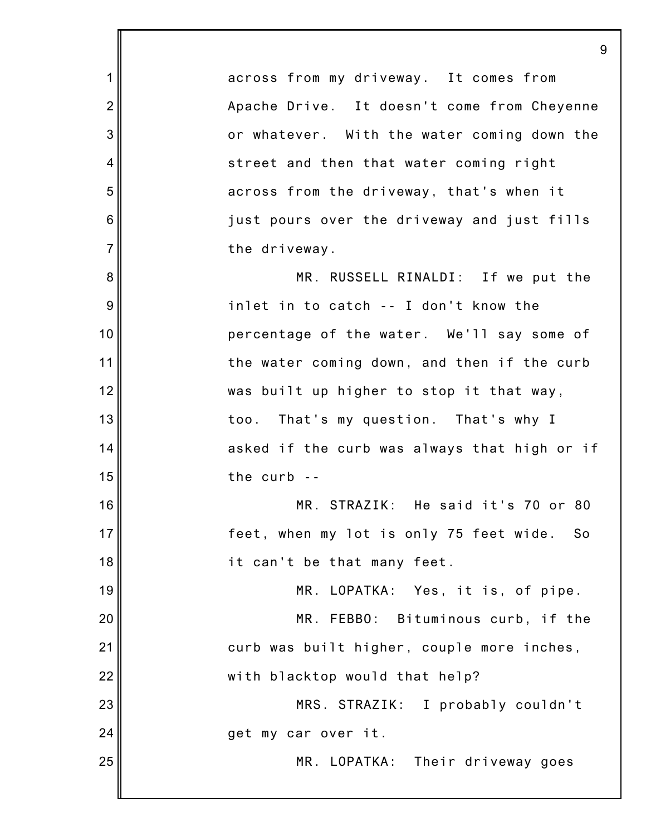1 2 3 4 5 6 7 8 9 10 11 12 13 14 15 16 17 18 19 20 21 22 23 24 25 9 across from my driveway. It comes from Apache Drive. It doesn't come from Cheyenne or whatever. With the water coming down the street and then that water coming right across from the driveway, that's when it just pours over the driveway and just fills the driveway. MR. RUSSELL RINALDI: If we put the inlet in to catch -- I don't know the percentage of the water. We'll say some of the water coming down, and then if the curb was built up higher to stop it that way, too. That's my question. That's why I asked if the curb was always that high or if the curb -- MR. STRAZIK: He said it's 70 or 80 feet, when my lot is only 75 feet wide. So it can't be that many feet. MR. LOPATKA: Yes, it is, of pipe. MR. FEBBO: Bituminous curb, if the curb was built higher, couple more inches, with blacktop would that help? MRS. STRAZIK: I probably couldn't get my car over it. MR. LOPATKA: Their driveway goes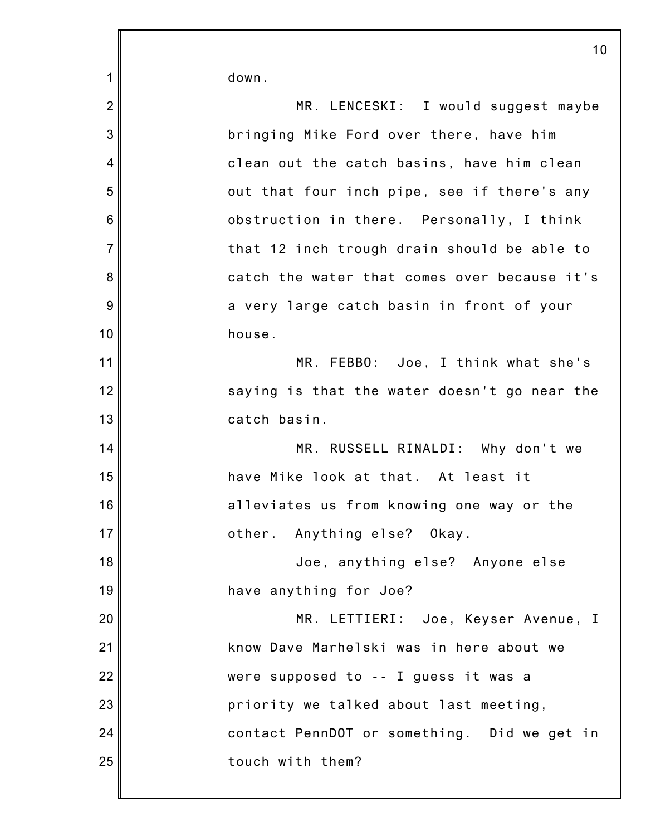| $\mathbf 1$    | down.                                        |
|----------------|----------------------------------------------|
| $\overline{2}$ | MR. LENCESKI: I would suggest maybe          |
| 3              | bringing Mike Ford over there, have him      |
| 4              | clean out the catch basins, have him clean   |
| 5              | out that four inch pipe, see if there's any  |
| $\,6$          | obstruction in there. Personally, I think    |
| $\overline{7}$ | that 12 inch trough drain should be able to  |
| 8              | catch the water that comes over because it's |
| 9              | a very large catch basin in front of your    |
| 10             | house.                                       |
| 11             | MR. FEBBO: Joe, I think what she's           |
| 12             | saying is that the water doesn't go near the |
| 13             | catch basin.                                 |
| 14             | MR. RUSSELL RINALDI: Why don't we            |
| 15             | have Mike look at that. At least it          |
| 16             | alleviates us from knowing one way or the    |
| 17             | other. Anything else? Okay.                  |
| 18             | Joe, anything else? Anyone else              |
| 19             | have anything for Joe?                       |
|                | MR. LETTIERI: Joe, Keyser Avenue, I          |
| 20             |                                              |
| 21             | know Dave Marhelski was in here about we     |
| 22             | were supposed to -- I guess it was a         |
| 23             | priority we talked about last meeting,       |
| 24             | contact PennDOT or something. Did we get in  |
| 25             | touch with them?                             |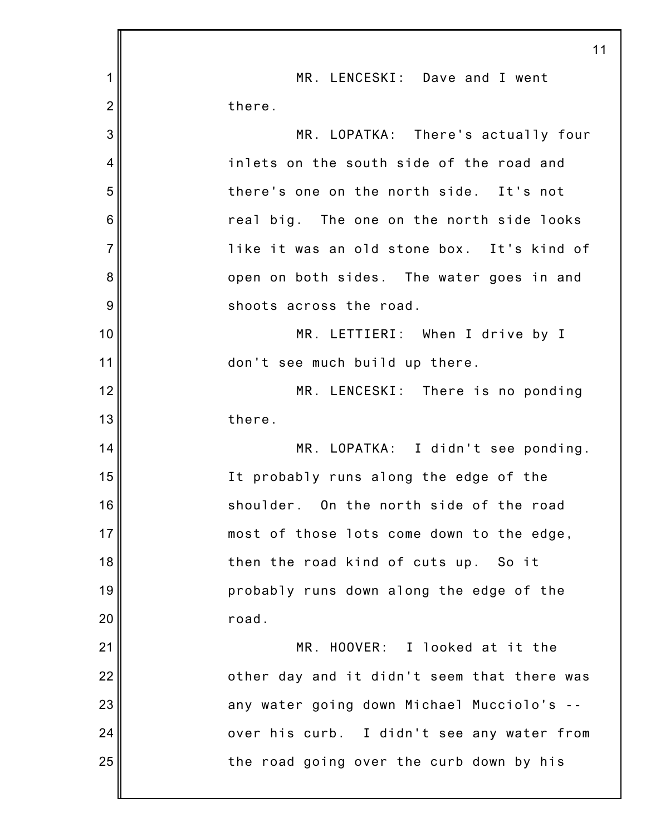|                | 11                                          |
|----------------|---------------------------------------------|
| 1              | MR. LENCESKI: Dave and I went               |
| $\overline{2}$ | there.                                      |
| 3              | MR. LOPATKA: There's actually four          |
| 4              | inlets on the south side of the road and    |
| 5              | there's one on the north side. It's not     |
| 6              | real big. The one on the north side looks   |
| $\overline{7}$ | like it was an old stone box. It's kind of  |
| 8              | open on both sides. The water goes in and   |
| 9              | shoots across the road.                     |
| 10             | MR. LETTIERI: When I drive by I             |
| 11             | don't see much build up there.              |
| 12             | MR. LENCESKI: There is no ponding           |
| 13             | there.                                      |
| 14             | MR. LOPATKA: I didn't see ponding.          |
| 15             | It probably runs along the edge of the      |
| 16             | shoulder. On the north side of the road     |
| 17             | most of those lots come down to the edge,   |
| 18             | then the road kind of cuts up. So it        |
| 19             | probably runs down along the edge of the    |
| 20             | road.                                       |
| 21             | MR. HOOVER: I looked at it the              |
| 22             | other day and it didn't seem that there was |
| 23             | any water going down Michael Mucciolo's --  |
| 24             | over his curb. I didn't see any water from  |
| 25             | the road going over the curb down by his    |
|                |                                             |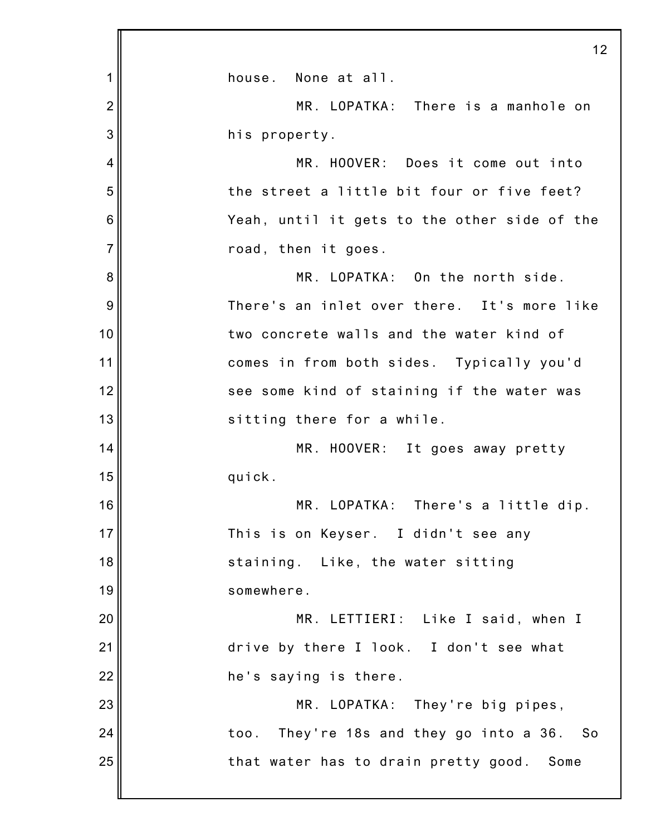|                | 12                                           |
|----------------|----------------------------------------------|
| 1              | house. None at all.                          |
| $\overline{2}$ | MR. LOPATKA: There is a manhole on           |
| 3              | his property.                                |
| 4              | MR. HOOVER: Does it come out into            |
| 5              | the street a little bit four or five feet?   |
| 6              | Yeah, until it gets to the other side of the |
| $\overline{7}$ | road, then it goes.                          |
| 8              | MR. LOPATKA: On the north side.              |
| 9              | There's an inlet over there. It's more like  |
| 10             | two concrete walls and the water kind of     |
| 11             | comes in from both sides. Typically you'd    |
| 12             | see some kind of staining if the water was   |
| 13             | sitting there for a while.                   |
| 14             | MR. HOOVER: It goes away pretty              |
| 15             | quick.                                       |
| 16             | MR. LOPATKA: There's a little dip.           |
| 17             | This is on Keyser. I didn't see any          |
| 18             | staining. Like, the water sitting            |
| 19             | somewhere.                                   |
| 20             | MR. LETTIERI: Like I said, when I            |
| 21             | drive by there I look. I don't see what      |
| 22             | he's saying is there.                        |
| 23             | MR. LOPATKA: They're big pipes,              |
| 24             | too. They're 18s and they go into a 36. So   |
| 25             | that water has to drain pretty good. Some    |
|                |                                              |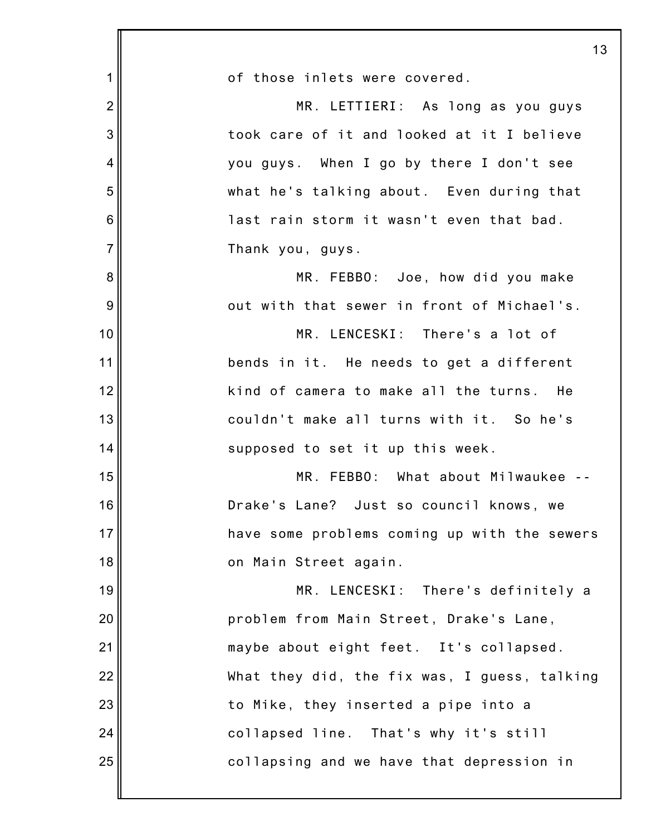|                | 13                                           |
|----------------|----------------------------------------------|
| 1              | of those inlets were covered.                |
| $\overline{2}$ | MR. LETTIERI: As long as you guys            |
| 3              | took care of it and looked at it I believe   |
| 4              | you guys. When I go by there I don't see     |
| 5              | what he's talking about. Even during that    |
| 6              | last rain storm it wasn't even that bad.     |
| $\overline{7}$ | Thank you, guys.                             |
| 8              | MR. FEBBO: Joe, how did you make             |
| 9              | out with that sewer in front of Michael's.   |
| 10             | MR. LENCESKI: There's a lot of               |
| 11             | bends in it. He needs to get a different     |
| 12             | kind of camera to make all the turns. He     |
| 13             | couldn't make all turns with it. So he's     |
| 14             | supposed to set it up this week.             |
| 15             | MR. FEBBO: What about Milwaukee              |
| 16             | Drake's Lane? Just so council knows, we      |
| 17             | have some problems coming up with the sewers |
| 18             | on Main Street again.                        |
| 19             | MR. LENCESKI: There's definitely a           |
| 20             | problem from Main Street, Drake's Lane,      |
| 21             | maybe about eight feet. It's collapsed.      |
| 22             | What they did, the fix was, I guess, talking |
| 23             | to Mike, they inserted a pipe into a         |
| 24             | collapsed line. That's why it's still        |
| 25             | collapsing and we have that depression in    |
|                |                                              |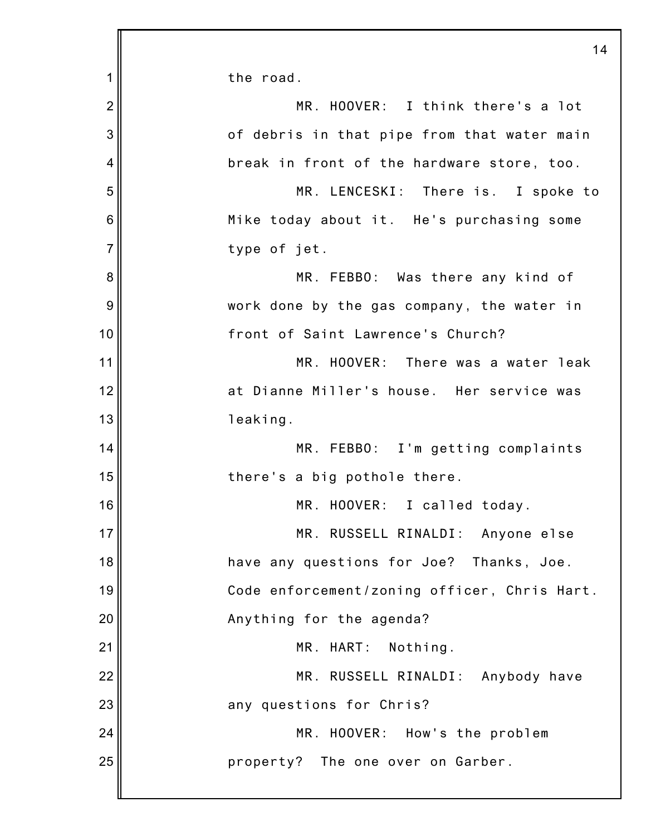|                | 14                                           |
|----------------|----------------------------------------------|
| 1              | the road.                                    |
| $\overline{2}$ | MR. HOOVER: I think there's a lot            |
| 3              | of debris in that pipe from that water main  |
| $\overline{4}$ | break in front of the hardware store, too.   |
| 5              | MR. LENCESKI: There is. I spoke to           |
| 6              | Mike today about it. He's purchasing some    |
| $\overline{7}$ | type of jet.                                 |
| 8              | MR. FEBBO: Was there any kind of             |
| 9              | work done by the gas company, the water in   |
| 10             | front of Saint Lawrence's Church?            |
| 11             | MR. HOOVER: There was a water leak           |
| 12             | at Dianne Miller's house. Her service was    |
| 13             | leaking.                                     |
| 14             | MR. FEBBO: I'm getting complaints            |
| 15             | there's a big pothole there.                 |
| 16             | MR. HOOVER: I called today.                  |
| 17             | MR. RUSSELL RINALDI: Anyone else             |
| 18             | have any questions for Joe? Thanks, Joe.     |
| 19             | Code enforcement/zoning officer, Chris Hart. |
| 20             | Anything for the agenda?                     |
| 21             | MR. HART: Nothing.                           |
| 22             | MR. RUSSELL RINALDI: Anybody have            |
| 23             | any questions for Chris?                     |
| 24             | MR. HOOVER: How's the problem                |
| 25             | property? The one over on Garber.            |
|                |                                              |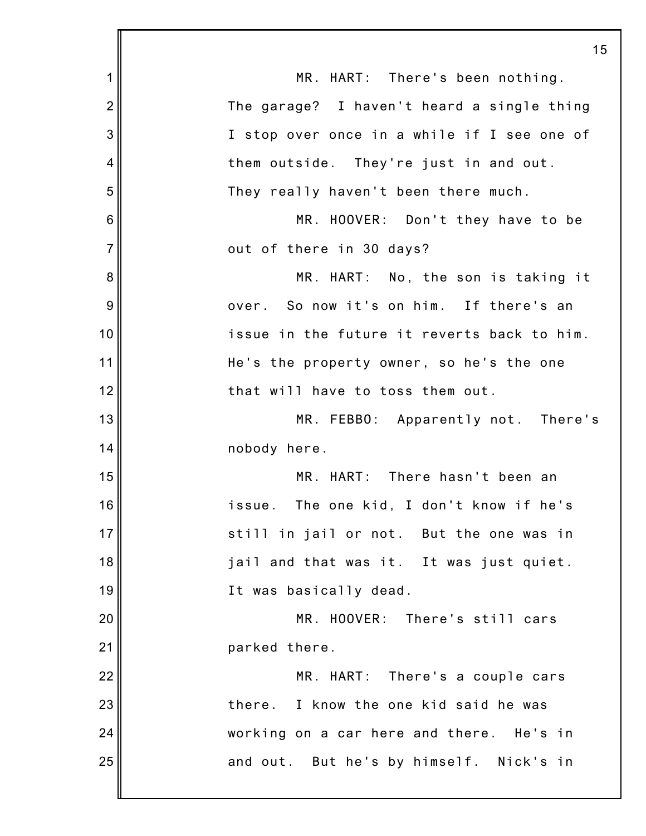|                 | 15                                          |
|-----------------|---------------------------------------------|
| 1               | MR. HART: There's been nothing.             |
| $\overline{2}$  | The garage? I haven't heard a single thing  |
| 3               | I stop over once in a while if I see one of |
| 4               | them outside. They're just in and out.      |
| 5               | They really haven't been there much.        |
| $6\phantom{1}6$ | MR. HOOVER: Don't they have to be           |
| $\overline{7}$  | out of there in 30 days?                    |
| 8               | MR. HART: No, the son is taking it          |
| 9               | over. So now it's on him. If there's an     |
| 10              | issue in the future it reverts back to him. |
| 11              | He's the property owner, so he's the one    |
| 12              | that will have to toss them out.            |
| 13              | MR. FEBBO: Apparently not. There's          |
| 14              | nobody here.                                |
| 15              | MR. HART: There hasn't been an              |
| 16              | issue. The one kid, I don't know if he's    |
| 17              | still in jail or not. But the one was in    |
| 18              | jail and that was it. It was just quiet.    |
| 19              | It was basically dead.                      |
| 20              | MR. HOOVER: There's still cars              |
| 21              | parked there.                               |
| 22              | MR. HART: There's a couple cars             |
| 23              | there. I know the one kid said he was       |
| 24              | working on a car here and there. He's in    |
| 25              | and out. But he's by himself. Nick's in     |
|                 |                                             |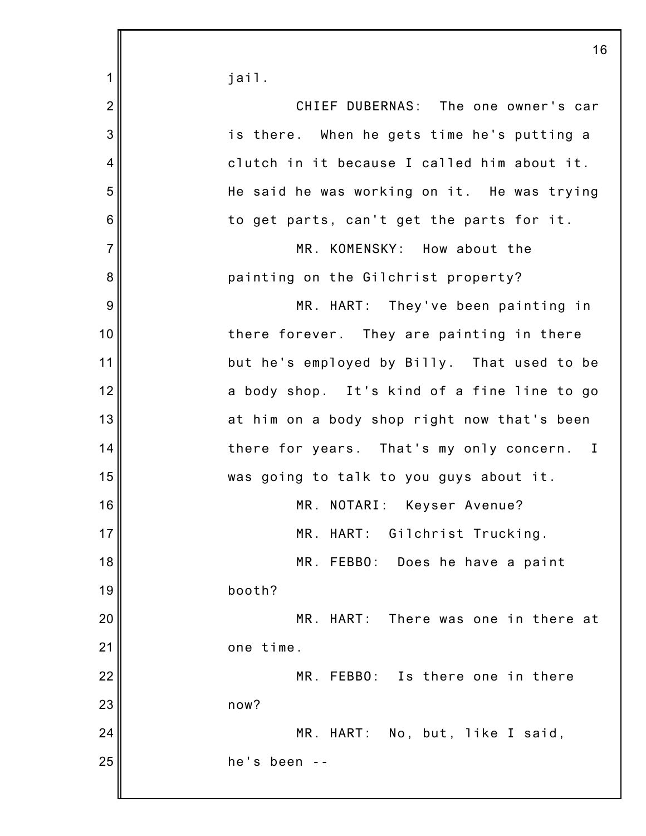|                | 16                                          |
|----------------|---------------------------------------------|
| 1              | jail.                                       |
| $\overline{2}$ | CHIEF DUBERNAS: The one owner's car         |
| 3              | is there. When he gets time he's putting a  |
| $\overline{4}$ | clutch in it because I called him about it. |
| 5              | He said he was working on it. He was trying |
| 6              | to get parts, can't get the parts for it.   |
| $\overline{7}$ | MR. KOMENSKY: How about the                 |
| 8              | painting on the Gilchrist property?         |
| 9              | MR. HART: They've been painting in          |
| 10             | there forever. They are painting in there   |
| 11             | but he's employed by Billy. That used to be |
| 12             | a body shop. It's kind of a fine line to go |
| 13             | at him on a body shop right now that's been |
| 14             | there for years. That's my only concern. I  |
| 15             | was going to talk to you guys about it.     |
| 16             | MR. NOTARI: Keyser Avenue?                  |
| 17             | MR. HART: Gilchrist Trucking.               |
| 18             | MR. FEBBO: Does he have a paint             |
| 19             | booth?                                      |
| 20             | MR. HART: There was one in there at         |
| 21             | one time.                                   |
| 22             | MR. FEBBO: Is there one in there            |
| 23             | now?                                        |
| 24             | MR. HART: No, but, like I said,             |
| 25             | he's been                                   |
|                |                                             |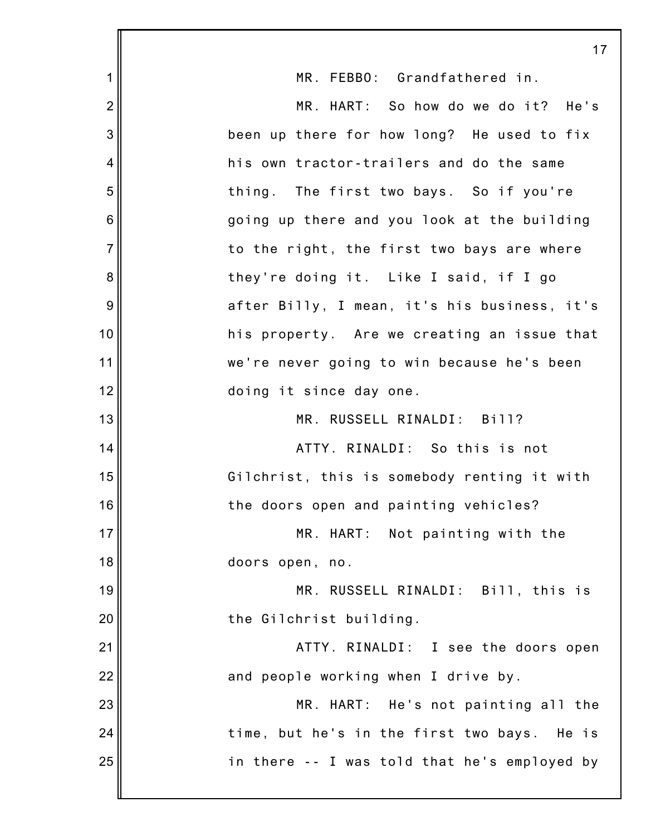|                 | 17                                             |
|-----------------|------------------------------------------------|
| 1               | MR. FEBBO: Grandfathered in.                   |
| $\overline{2}$  | MR. HART: So how do we do it? He's             |
| 3               | been up there for how long? He used to fix     |
| 4               | his own tractor-trailers and do the same       |
| 5               | thing. The first two bays. So if you're        |
| $6\phantom{1}6$ | going up there and you look at the building    |
| $\overline{7}$  | to the right, the first two bays are where     |
| 8               | they're doing it. Like I said, if I go         |
| 9               | after Billy, I mean, it's his business, it's   |
| 10              | his property. Are we creating an issue that    |
| 11              | we're never going to win because he's been     |
| 12              | doing it since day one.                        |
| 13              | MR. RUSSELL RINALDI: Bill?                     |
| 14              | ATTY. RINALDI: So this is not                  |
| 15              | Gilchrist, this is somebody renting it with    |
| 16              | the doors open and painting vehicles?          |
| 17              | MR. HART: Not painting with the                |
| 18              | doors open, no.                                |
| 19              | MR. RUSSELL RINALDI: Bill, this is             |
| 20              | the Gilchrist building.                        |
| 21              | ATTY. RINALDI: I see the doors open            |
| 22              | and people working when I drive by.            |
| 23              | MR. HART: He's not painting all the            |
| 24              | time, but he's in the first two bays.<br>He is |
| 25              | in there -- I was told that he's employed by   |
|                 |                                                |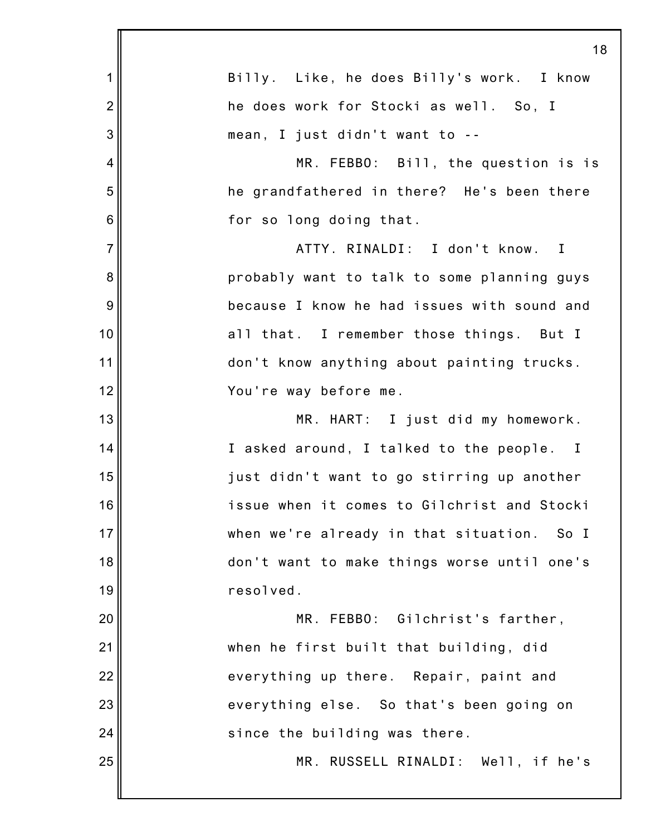|                | 18                                          |
|----------------|---------------------------------------------|
| 1              | Billy. Like, he does Billy's work. I know   |
| $\overline{2}$ | he does work for Stocki as well. So, I      |
| 3              | mean, I just didn't want to --              |
| $\overline{4}$ | MR. FEBBO: Bill, the question is is         |
| 5              | he grandfathered in there? He's been there  |
| 6              | for so long doing that.                     |
| $\overline{7}$ | ATTY. RINALDI: I don't know. I              |
| 8              | probably want to talk to some planning guys |
| 9              | because I know he had issues with sound and |
| 10             | all that. I remember those things. But I    |
| 11             | don't know anything about painting trucks.  |
| 12             | You're way before me.                       |
| 13             | MR. HART: I just did my homework.           |
| 14             | I asked around, I talked to the people. I   |
| 15             | just didn't want to go stirring up another  |
| 16             | issue when it comes to Gilchrist and Stocki |
| 17             | when we're already in that situation. So I  |
| 18             | don't want to make things worse until one's |
| 19             | resolved.                                   |
| 20             | MR. FEBBO: Gilchrist's farther,             |
| 21             | when he first built that building, did      |
| 22             | everything up there. Repair, paint and      |
| 23             | everything else. So that's been going on    |
| 24             | since the building was there.               |
| 25             | MR. RUSSELL RINALDI: Well, if he's          |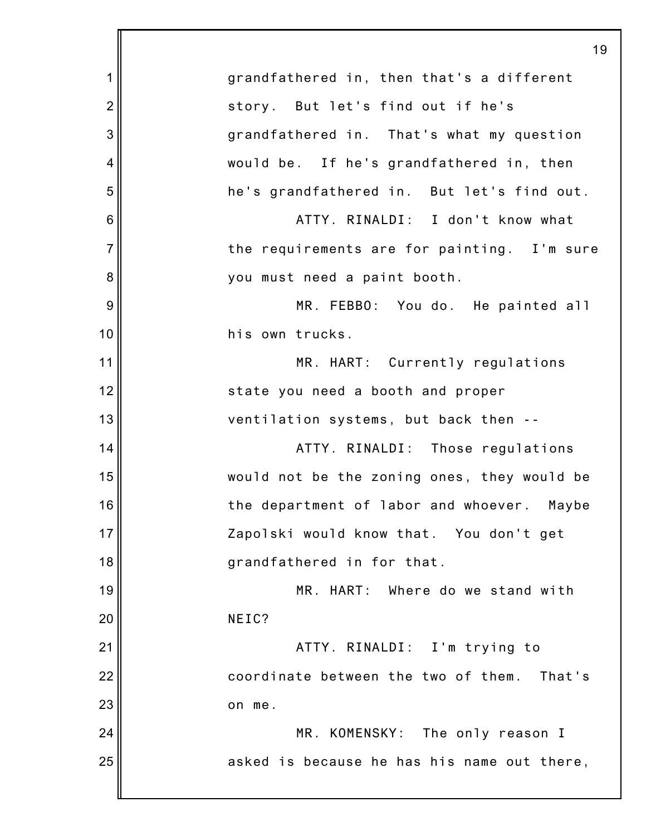|                | 19                                          |
|----------------|---------------------------------------------|
| 1              | grandfathered in, then that's a different   |
| $\overline{2}$ | story. But let's find out if he's           |
| 3              | grandfathered in. That's what my question   |
| 4              | would be. If he's grandfathered in, then    |
| 5              | he's grandfathered in. But let's find out.  |
| 6              | ATTY. RINALDI: I don't know what            |
| $\overline{7}$ | the requirements are for painting. I'm sure |
| 8              | you must need a paint booth.                |
| 9              | MR. FEBBO: You do. He painted all           |
| 10             | his own trucks.                             |
| 11             | MR. HART: Currently regulations             |
| 12             | state you need a booth and proper           |
| 13             | ventilation systems, but back then --       |
| 14             | ATTY. RINALDI: Those regulations            |
| 15             | would not be the zoning ones, they would be |
| 16             | the department of labor and whoever. Maybe  |
| 17             | Zapolski would know that. You don't get     |
| 18             | grandfathered in for that.                  |
| 19             | MR. HART: Where do we stand with            |
| 20             | NEIC?                                       |
| 21             | ATTY. RINALDI: I'm trying to                |
| 22             | coordinate between the two of them. That's  |
| 23             | on me.                                      |
| 24             | MR. KOMENSKY: The only reason I             |
| 25             | asked is because he has his name out there, |
|                |                                             |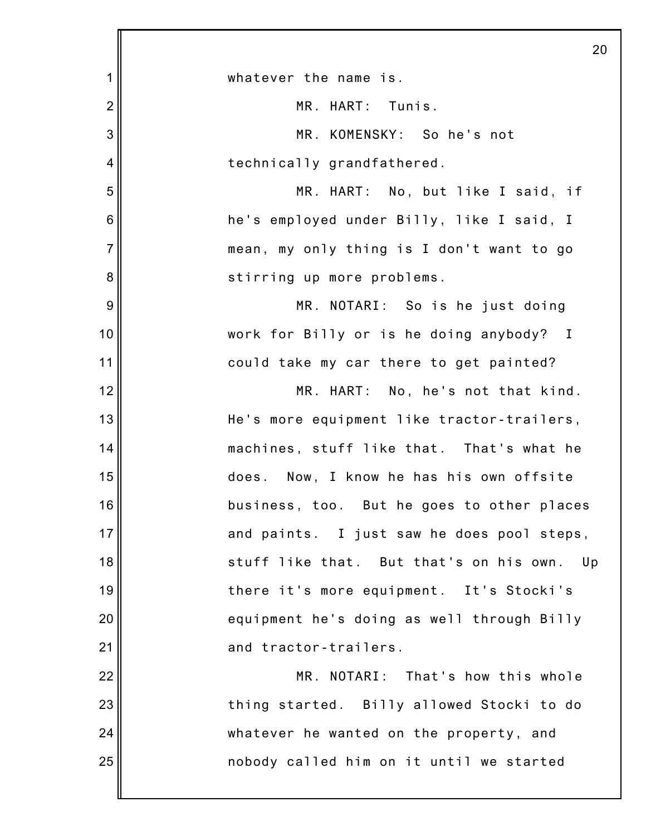|                | 20                                          |
|----------------|---------------------------------------------|
| 1              | whatever the name is.                       |
| $\overline{2}$ | MR. HART: Tunis.                            |
| 3              | MR. KOMENSKY: So he's not                   |
| 4              | technically grandfathered.                  |
| 5              | MR. HART: No, but like I said, if           |
| 6              | he's employed under Billy, like I said, I   |
| $\overline{7}$ | mean, my only thing is I don't want to go   |
| 8              | stirring up more problems.                  |
| 9              | MR. NOTARI: So is he just doing             |
| 10             | work for Billy or is he doing anybody? I    |
| 11             | could take my car there to get painted?     |
| 12             | MR. HART: No, he's not that kind.           |
| 13             | He's more equipment like tractor-trailers,  |
| 14             | machines, stuff like that. That's what he   |
| 15             | Now, I know he has his own offsite<br>does. |
| 16             | business, too. But he goes to other places  |
| 17             | and paints. I just saw he does pool steps,  |
| 18             | stuff like that. But that's on his own. Up  |
| 19             | there it's more equipment. It's Stocki's    |
| 20             | equipment he's doing as well through Billy  |
| 21             | and tractor-trailers.                       |
| 22             | MR. NOTARI: That's how this whole           |
| 23             | thing started. Billy allowed Stocki to do   |
| 24             | whatever he wanted on the property, and     |
| 25             | nobody called him on it until we started    |
|                |                                             |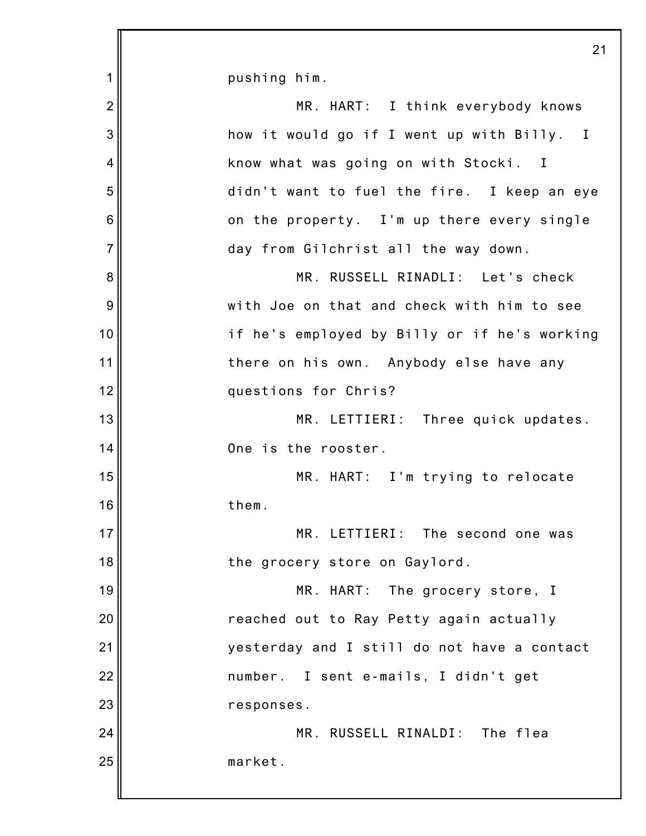|                | 21                                           |
|----------------|----------------------------------------------|
| 1              | pushing him.                                 |
| $\overline{2}$ | MR. HART: I think everybody knows            |
| 3              | how it would go if I went up with Billy. I   |
| 4              | know what was going on with Stocki. I        |
| 5              | didn't want to fuel the fire. I keep an eye  |
| 6              | on the property. I'm up there every single   |
| $\overline{7}$ | day from Gilchrist all the way down.         |
| 8              | MR. RUSSELL RINADLI: Let's check             |
| 9              | with Joe on that and check with him to see   |
| 10             | if he's employed by Billy or if he's working |
| 11             | there on his own. Anybody else have any      |
| 12             | questions for Chris?                         |
| 13             | MR. LETTIERI: Three quick updates.           |
| 14             | One is the rooster.                          |
| 15             | MR. HART: I'm trying to relocate             |
| 16             | them.                                        |
| 17             | MR. LETTIERI: The second one was             |
| 18             | the grocery store on Gaylord.                |
| 19             | MR. HART: The grocery store, I               |
| 20             | reached out to Ray Petty again actually      |
| 21             | yesterday and I still do not have a contact  |
| 22             | number. I sent e-mails, I didn't get         |
| 23             | responses.                                   |
| 24             | MR. RUSSELL RINALDI: The flea                |
| 25             | market.                                      |
|                |                                              |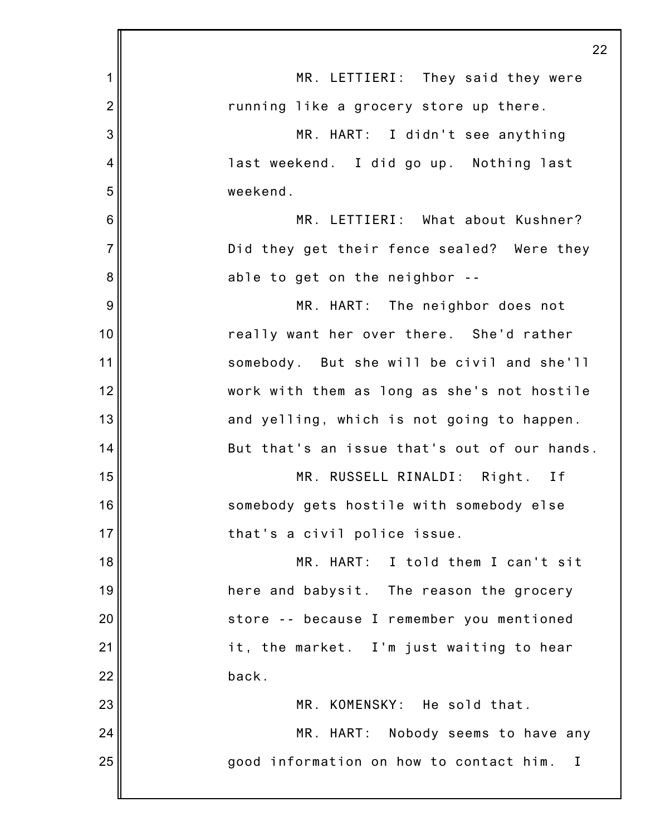|                | 22                                                      |
|----------------|---------------------------------------------------------|
| 1              | MR. LETTIERI: They said they were                       |
| $\overline{2}$ | running like a grocery store up there.                  |
| 3              | MR. HART: I didn't see anything                         |
| 4              | last weekend. I did go up. Nothing last                 |
| 5              | weekend.                                                |
| 6              | MR. LETTIERI: What about Kushner?                       |
| $\overline{7}$ | Did they get their fence sealed? Were they              |
| 8              | able to get on the neighbor --                          |
| 9              | MR. HART: The neighbor does not                         |
| 10             | really want her over there. She'd rather                |
| 11             | somebody. But she will be civil and she'll              |
| 12             | work with them as long as she's not hostile             |
| 13             | and yelling, which is not going to happen.              |
| 14             | But that's an issue that's out of our hands.            |
| 15             | MR. RUSSELL RINALDI: Right. If                          |
| 16             | somebody gets hostile with somebody else                |
| 17             | that's a civil police issue.                            |
| 18             | MR. HART: I told them I can't sit                       |
| 19             | here and babysit. The reason the grocery                |
| 20             | store -- because I remember you mentioned               |
| 21             | it, the market. I'm just waiting to hear                |
| 22             | back.                                                   |
| 23             | MR. KOMENSKY: He sold that.                             |
| 24             | MR. HART: Nobody seems to have any                      |
| 25             | good information on how to contact him.<br>$\mathbf{I}$ |
|                |                                                         |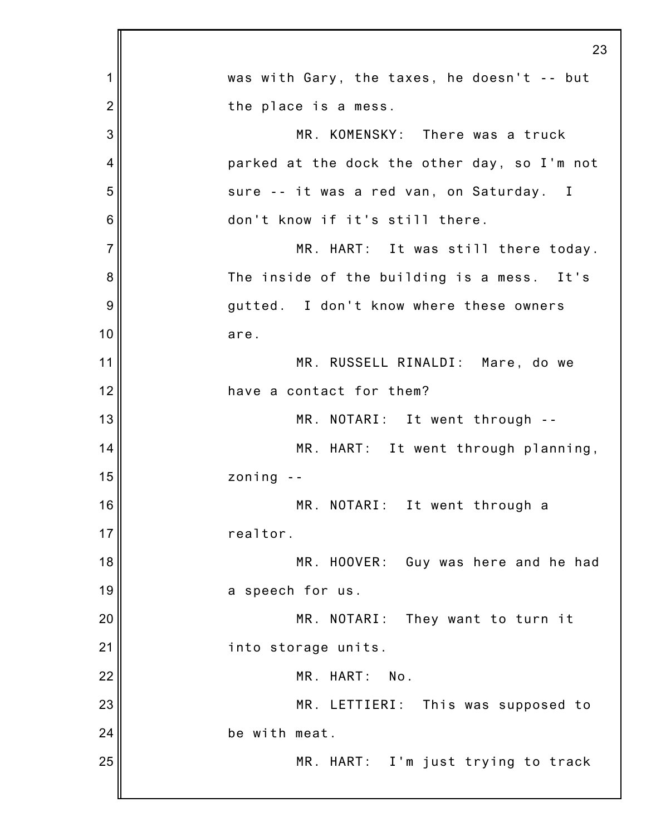|                | 23                                           |
|----------------|----------------------------------------------|
| 1              | was with Gary, the taxes, he doesn't -- but  |
| $\overline{2}$ | the place is a mess.                         |
| 3              | MR. KOMENSKY: There was a truck              |
| 4              | parked at the dock the other day, so I'm not |
| 5              | sure -- it was a red van, on Saturday. I     |
| 6              | don't know if it's still there.              |
| $\overline{7}$ | MR. HART: It was still there today.          |
| 8              | The inside of the building is a mess. It's   |
| 9              | gutted. I don't know where these owners      |
| 10             | are.                                         |
| 11             | MR. RUSSELL RINALDI: Mare, do we             |
| 12             | have a contact for them?                     |
| 13             | MR. NOTARI: It went through --               |
| 14             | MR. HART: It went through planning,          |
| 15             | zoning                                       |
| 16             | MR. NOTARI: It went through a                |
| 17             | realtor.                                     |
| 18             | MR. HOOVER:<br>Guy was here and he had       |
| 19             | a speech for us.                             |
| 20             | MR. NOTARI: They want to turn it             |
| 21             | into storage units.                          |
| 22             | MR. HART:<br>No.                             |
| 23             | MR. LETTIERI: This was supposed to           |
| 24             | be with meat.                                |
| 25             | MR. HART: I'm just trying to track           |
|                |                                              |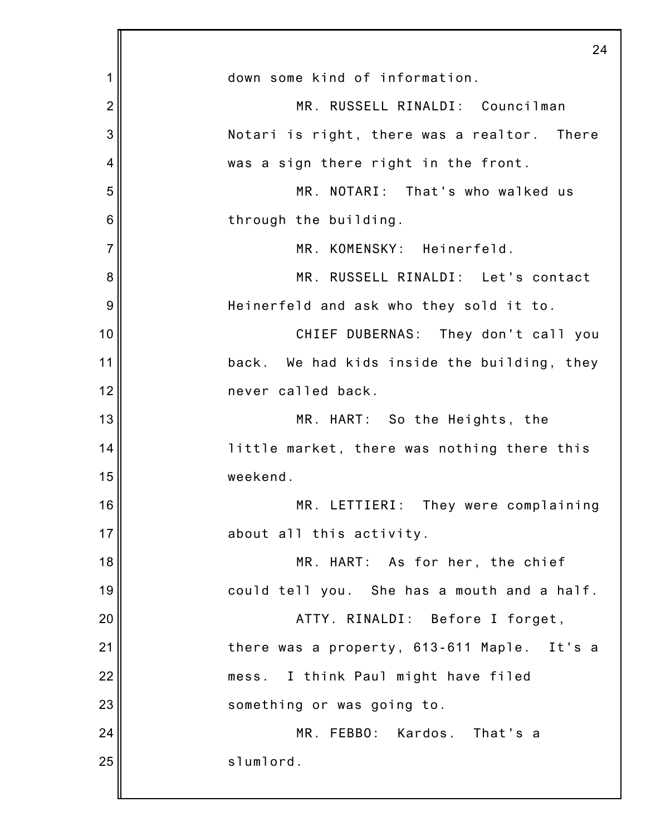|                | 24                                          |
|----------------|---------------------------------------------|
| 1              | down some kind of information.              |
| $\overline{2}$ | MR. RUSSELL RINALDI: Councilman             |
| 3              | Notari is right, there was a realtor. There |
| 4              | was a sign there right in the front.        |
| 5              | MR. NOTARI: That's who walked us            |
| 6              | through the building.                       |
| $\overline{7}$ | MR. KOMENSKY: Heinerfeld.                   |
| 8              | MR. RUSSELL RINALDI: Let's contact          |
| 9              | Heinerfeld and ask who they sold it to.     |
| 10             | CHIEF DUBERNAS: They don't call you         |
| 11             | back. We had kids inside the building, they |
| 12             | never called back.                          |
| 13             | MR. HART: So the Heights, the               |
| 14             | little market, there was nothing there this |
| 15             | weekend.                                    |
| 16             | MR. LETTIERI: They were complaining         |
| 17             | about all this activity.                    |
| 18             | MR. HART: As for her, the chief             |
| 19             | could tell you. She has a mouth and a half. |
| 20             | ATTY. RINALDI: Before I forget,             |
| 21             | there was a property, 613-611 Maple. It's a |
| 22             | mess. I think Paul might have filed         |
| 23             | something or was going to.                  |
| 24             | MR. FEBBO: Kardos. That's a                 |
| 25             | slumlord.                                   |
|                |                                             |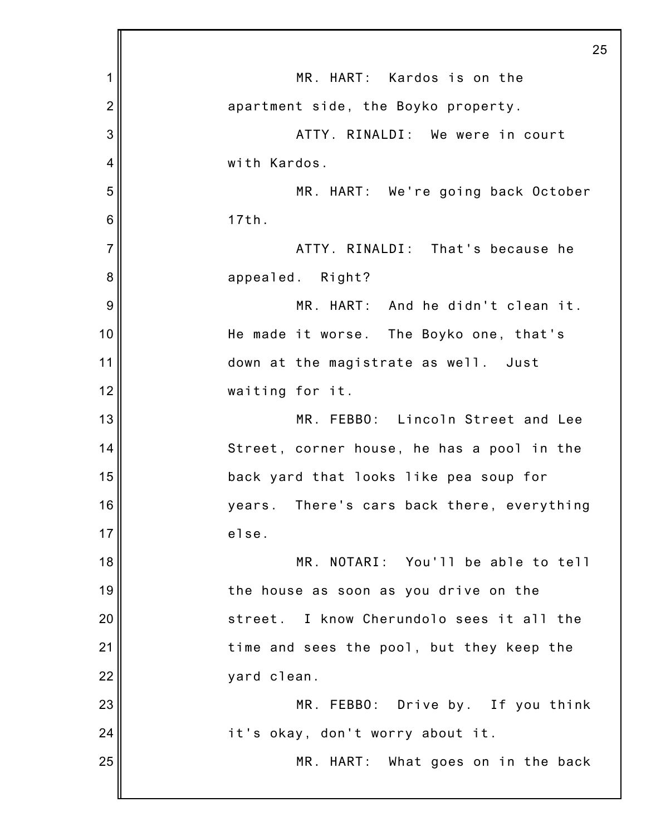|                | 25                                           |
|----------------|----------------------------------------------|
| 1              | MR. HART: Kardos is on the                   |
| $\overline{2}$ | apartment side, the Boyko property.          |
| 3              | ATTY. RINALDI: We were in court              |
| 4              | with Kardos.                                 |
| 5              | MR. HART: We're going back October           |
| 6              | 17th.                                        |
| $\overline{7}$ | ATTY. RINALDI: That's because he             |
| 8              | appealed. Right?                             |
| 9              | MR. HART: And he didn't clean it.            |
| 10             | He made it worse. The Boyko one, that's      |
| 11             | down at the magistrate as well. Just         |
| 12             | waiting for it.                              |
| 13             | MR. FEBBO: Lincoln Street and Lee            |
| 14             | Street, corner house, he has a pool in the   |
| 15             | back yard that looks like pea soup for       |
| 16             | years. There's cars back there, everything   |
| 17             | else.                                        |
| 18             | MR. NOTARI: You'll be able to tell           |
| 19             | the house as soon as you drive on the        |
| 20             | I know Cherundolo sees it all the<br>street. |
| 21             | time and sees the pool, but they keep the    |
| 22             | yard clean.                                  |
| 23             | MR. FEBBO: Drive by. If you think            |
| 24             | it's okay, don't worry about it.             |
| 25             | MR. HART: What goes on in the back           |
|                |                                              |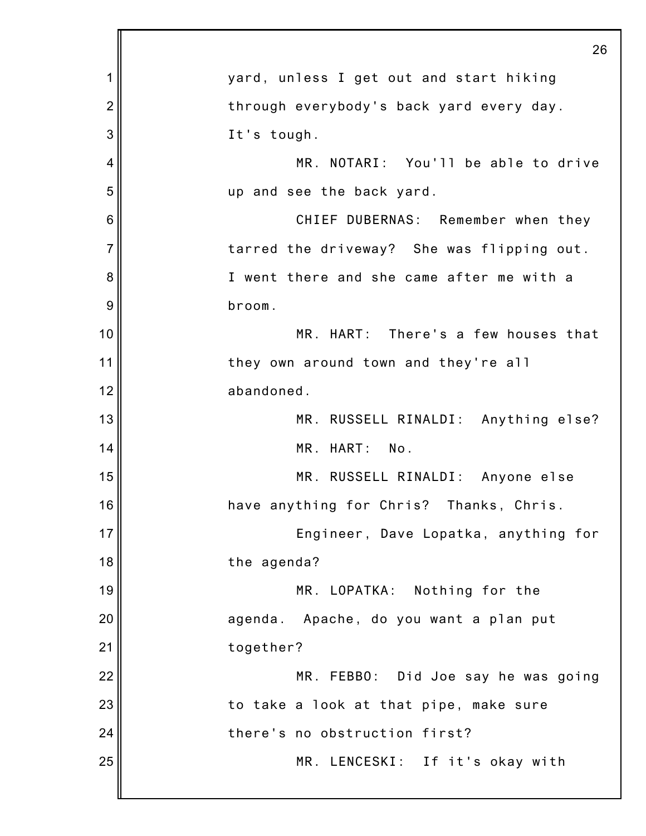|                | 26                                         |
|----------------|--------------------------------------------|
| 1              | yard, unless I get out and start hiking    |
| $\overline{c}$ | through everybody's back yard every day.   |
| 3              | It's tough.                                |
| 4              | MR. NOTARI: You'll be able to drive        |
| 5              | up and see the back yard.                  |
| 6              | CHIEF DUBERNAS: Remember when they         |
| $\overline{7}$ | tarred the driveway? She was flipping out. |
| 8              | I went there and she came after me with a  |
| 9              | broom.                                     |
| 10             | MR. HART: There's a few houses that        |
| 11             | they own around town and they're all       |
| 12             | abandoned.                                 |
| 13             | MR. RUSSELL RINALDI: Anything else?        |
| 14             | MR. HART: No.                              |
| 15             | MR. RUSSELL RINALDI: Anyone else           |
| 16             | have anything for Chris? Thanks, Chris.    |
| 17             | Engineer, Dave Lopatka, anything for       |
| 18             | the agenda?                                |
| 19             | MR. LOPATKA: Nothing for the               |
| 20             | agenda. Apache, do you want a plan put     |
| 21             | together?                                  |
| 22             | MR. FEBBO: Did Joe say he was going        |
| 23             | to take a look at that pipe, make sure     |
| 24             | there's no obstruction first?              |
| 25             | MR. LENCESKI: If it's okay with            |
|                |                                            |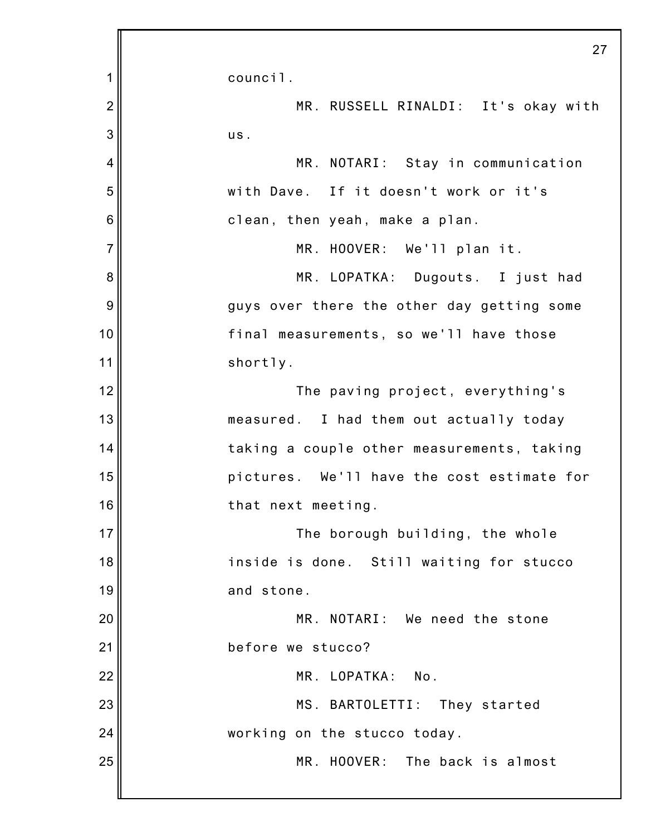|                | 27                                         |
|----------------|--------------------------------------------|
| 1              | council.                                   |
| $\overline{2}$ | MR. RUSSELL RINALDI: It's okay with        |
| 3              | us.                                        |
| $\overline{4}$ | MR. NOTARI: Stay in communication          |
| 5              | with Dave. If it doesn't work or it's      |
| 6              | clean, then yeah, make a plan.             |
| $\overline{7}$ | MR. HOOVER: We'll plan it.                 |
| 8              | MR. LOPATKA: Dugouts. I just had           |
| 9              | guys over there the other day getting some |
| 10             | final measurements, so we'll have those    |
| 11             | shortly.                                   |
| 12             | The paving project, everything's           |
| 13             | measured. I had them out actually today    |
| 14             | taking a couple other measurements, taking |
| 15             | pictures. We'll have the cost estimate for |
| 16             | that next meeting.                         |
| 17             | The borough building, the whole            |
| 18             | inside is done. Still waiting for stucco   |
| 19             | and stone.                                 |
| 20             | MR. NOTARI: We need the stone              |
| 21             | before we stucco?                          |
| 22             | MR. LOPATKA:<br>No.                        |
| 23             | MS. BARTOLETTI:<br>They started            |
| 24             | working on the stucco today.               |
| 25             | MR. HOOVER: The back is almost             |
|                |                                            |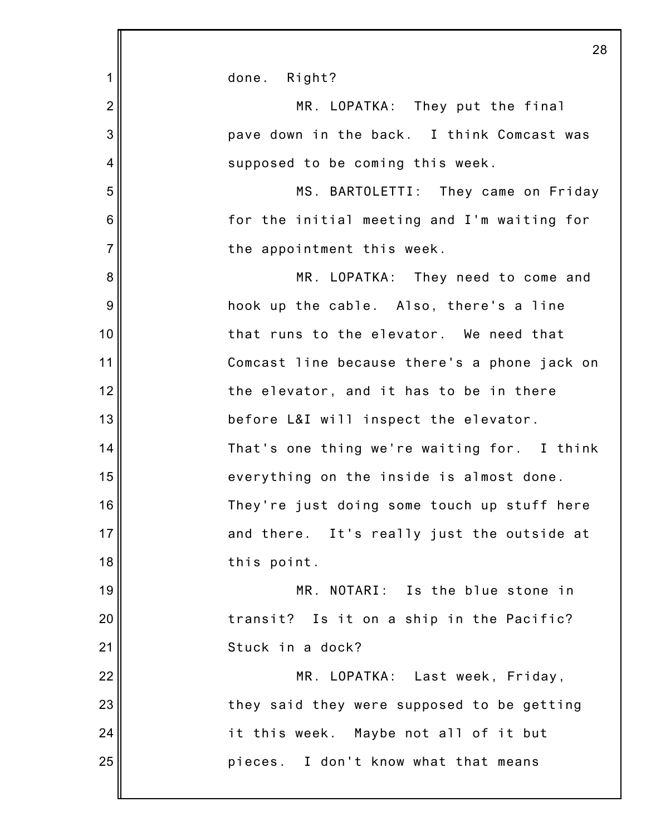|                | 28                                           |
|----------------|----------------------------------------------|
| 1              | done. Right?                                 |
| $\overline{2}$ | MR. LOPATKA: They put the final              |
| 3              | pave down in the back. I think Comcast was   |
| 4              | supposed to be coming this week.             |
| 5              | MS. BARTOLETTI: They came on Friday          |
| 6              | for the initial meeting and I'm waiting for  |
| $\overline{7}$ | the appointment this week.                   |
| 8              | MR. LOPATKA: They need to come and           |
| 9              | hook up the cable. Also, there's a line      |
| 10             | that runs to the elevator. We need that      |
| 11             | Comcast line because there's a phone jack on |
| 12             | the elevator, and it has to be in there      |
| 13             | before L&I will inspect the elevator.        |
| 14             | That's one thing we're waiting for. I think  |
| 15             | everything on the inside is almost done.     |
| 16             | They're just doing some touch up stuff here  |
| 17             | and there. It's really just the outside at   |
| 18             | this point.                                  |
| 19             | MR. NOTARI: Is the blue stone in             |
| 20             | transit? Is it on a ship in the Pacific?     |
| 21             | Stuck in a dock?                             |
| 22             | MR. LOPATKA: Last week, Friday,              |
| 23             | they said they were supposed to be getting   |
| 24             | it this week. Maybe not all of it but        |
| 25             | pieces. I don't know what that means         |
|                |                                              |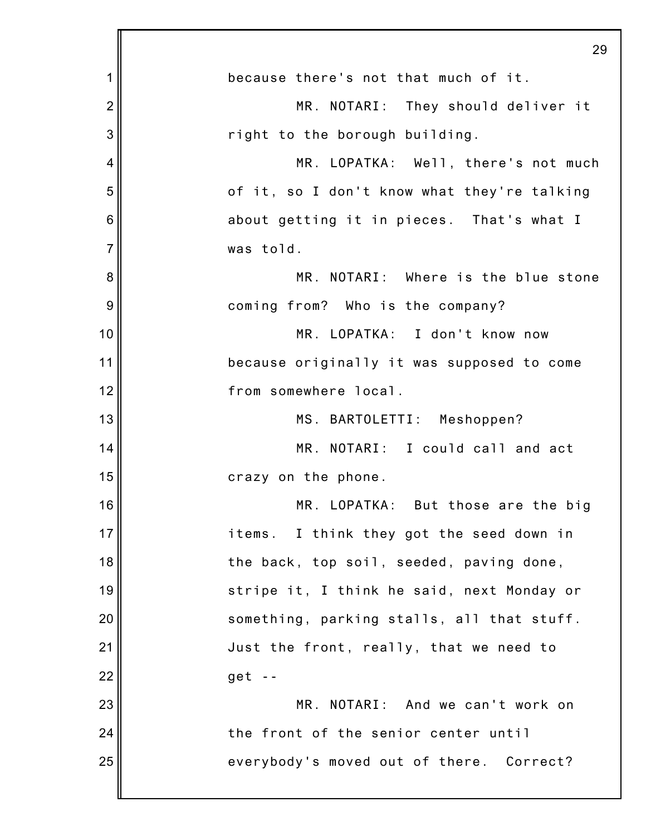|                | 29                                          |
|----------------|---------------------------------------------|
| 1              | because there's not that much of it.        |
| $\overline{2}$ | MR. NOTARI: They should deliver it          |
| 3              | right to the borough building.              |
| 4              | MR. LOPATKA: Well, there's not much         |
| 5              | of it, so I don't know what they're talking |
| 6              | about getting it in pieces. That's what I   |
| 7              | was told.                                   |
| 8              | MR. NOTARI: Where is the blue stone         |
| 9              | coming from? Who is the company?            |
| 10             | MR. LOPATKA: I don't know now               |
| 11             | because originally it was supposed to come  |
| 12             | from somewhere local.                       |
| 13             | MS. BARTOLETTI: Meshoppen?                  |
| 14             | MR. NOTARI: I could call and act            |
| 15             | crazy on the phone.                         |
| 16             | MR. LOPATKA: But those are the big          |
| 17             | items. I think they got the seed down in    |
| 18             | the back, top soil, seeded, paving done,    |
| 19             | stripe it, I think he said, next Monday or  |
| 20             | something, parking stalls, all that stuff.  |
| 21             | Just the front, really, that we need to     |
| 22             | $get -$                                     |
| 23             | MR. NOTARI: And we can't work on            |
| 24             | the front of the senior center until        |
| 25             | everybody's moved out of there. Correct?    |
|                |                                             |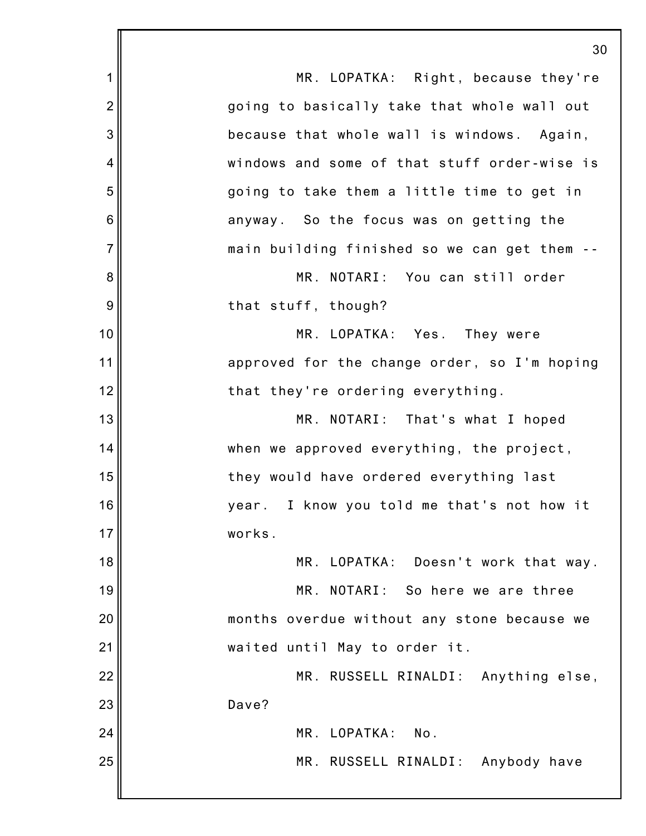1 2 3 4 5 6 7 8 9 10 11 12 13 14 15 16 17 18 19 20 21 22 23 24 25 30 MR. LOPATKA: Right, because they're going to basically take that whole wall out because that whole wall is windows. Again, windows and some of that stuff order-wise is going to take them a little time to get in anyway. So the focus was on getting the main building finished so we can get them -- MR. NOTARI: You can still order that stuff, though? MR. LOPATKA: Yes. They were approved for the change order, so I'm hoping that they're ordering everything. MR. NOTARI: That's what I hoped when we approved everything, the project, they would have ordered everything last year. I know you told me that's not how it works. MR. LOPATKA: Doesn't work that way. MR. NOTARI: So here we are three months overdue without any stone because we waited until May to order it. MR. RUSSELL RINALDI: Anything else, Dave? MR. LOPATKA: No. MR. RUSSELL RINALDI: Anybody have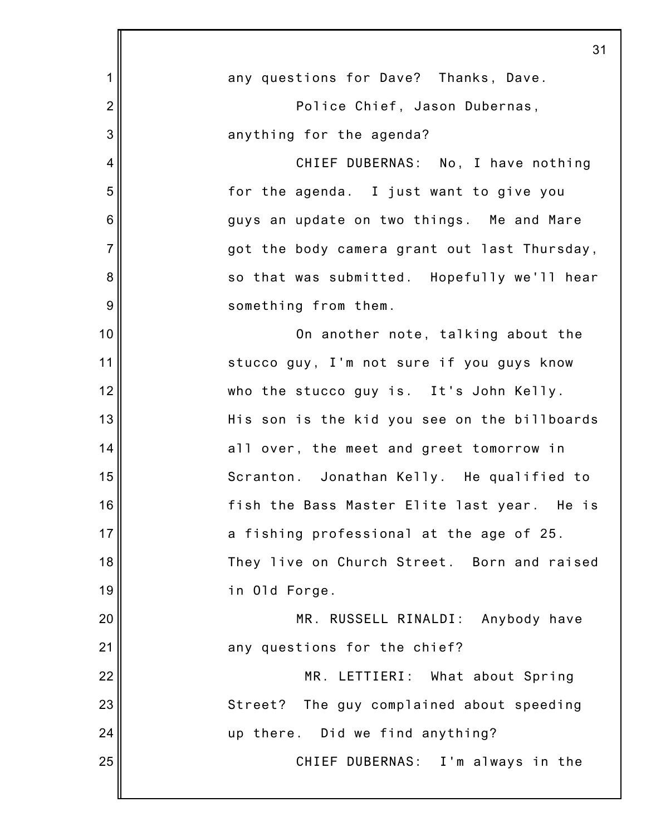|                 | 31                                           |
|-----------------|----------------------------------------------|
| 1               | any questions for Dave? Thanks, Dave.        |
| $\overline{2}$  | Police Chief, Jason Dubernas,                |
| 3               | anything for the agenda?                     |
| 4               | CHIEF DUBERNAS: No, I have nothing           |
| 5               | for the agenda. I just want to give you      |
| $6\phantom{1}6$ | guys an update on two things. Me and Mare    |
| $\overline{7}$  | got the body camera grant out last Thursday, |
| 8               | so that was submitted. Hopefully we'll hear  |
| 9               | something from them.                         |
| 10              | On another note, talking about the           |
| 11              | stucco guy, I'm not sure if you guys know    |
| 12              | who the stucco guy is. It's John Kelly.      |
| 13              | His son is the kid you see on the billboards |
| 14              | all over, the meet and greet tomorrow in     |
| 15              | Scranton. Jonathan Kelly. He qualified to    |
| 16              | fish the Bass Master Elite last year. He is  |
| 17              | a fishing professional at the age of 25.     |
| 18              | They live on Church Street. Born and raised  |
| 19              | in Old Forge.                                |
| 20              | MR. RUSSELL RINALDI: Anybody have            |
| 21              | any questions for the chief?                 |
| 22              | MR. LETTIERI: What about Spring              |
| 23              | The guy complained about speeding<br>Street? |
| 24              | up there. Did we find anything?              |
| 25              | CHIEF DUBERNAS: I'm always in the            |
|                 |                                              |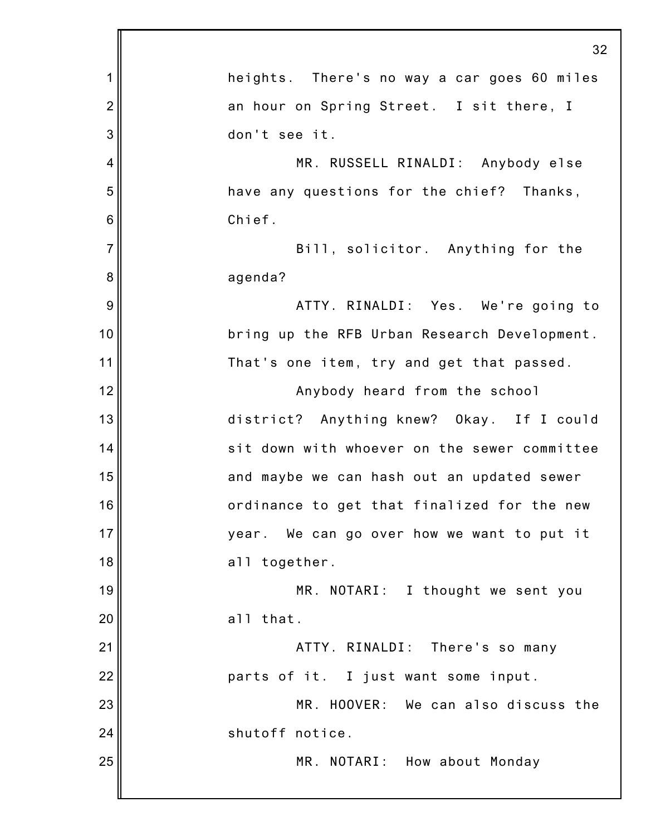|                | 32                                           |
|----------------|----------------------------------------------|
| 1              | heights. There's no way a car goes 60 miles  |
| $\overline{2}$ | an hour on Spring Street. I sit there, I     |
| 3              | don't see it.                                |
| $\overline{4}$ | MR. RUSSELL RINALDI: Anybody else            |
| 5              | have any questions for the chief? Thanks,    |
| 6              | Chief.                                       |
| $\overline{7}$ | Bill, solicitor. Anything for the            |
| 8              | agenda?                                      |
| 9              | ATTY. RINALDI: Yes. We're going to           |
| 10             | bring up the RFB Urban Research Development. |
| 11             | That's one item, try and get that passed.    |
| 12             | Anybody heard from the school                |
| 13             | district? Anything knew? Okay. If I could    |
| 14             | sit down with whoever on the sewer committee |
| 15             | and maybe we can hash out an updated sewer   |
| 16             | ordinance to get that finalized for the new  |
| 17             | year. We can go over how we want to put it   |
| 18             | all together.                                |
| 19             | MR. NOTARI: I thought we sent you            |
| 20             | all that.                                    |
| 21             | ATTY. RINALDI: There's so many               |
| 22             | parts of it. I just want some input.         |
| 23             | MR. HOOVER: We can also discuss the          |
| 24             | shutoff notice.                              |
| 25             | MR. NOTARI: How about Monday                 |
|                |                                              |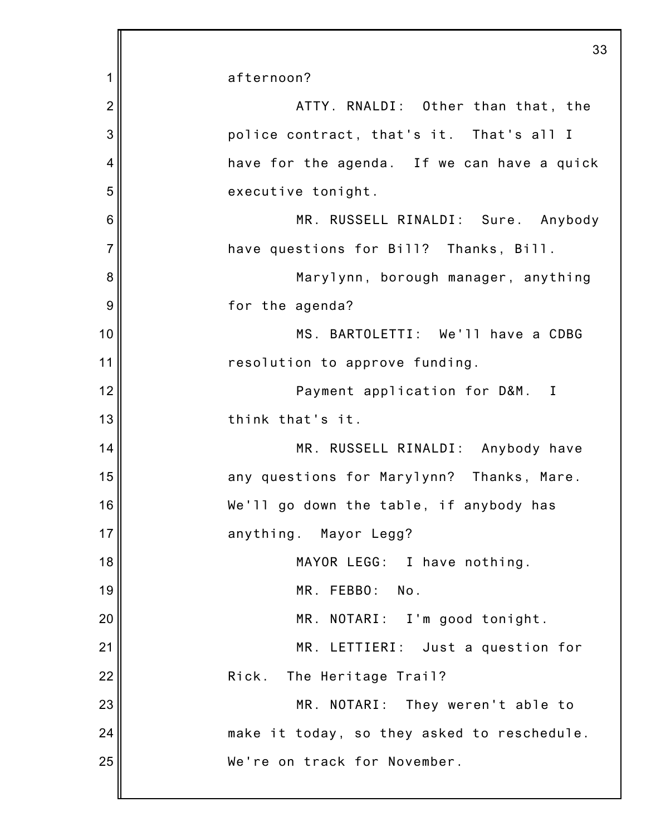|                | 33                                          |
|----------------|---------------------------------------------|
| 1              | afternoon?                                  |
| $\overline{2}$ | ATTY. RNALDI: Other than that, the          |
| 3              | police contract, that's it. That's all I    |
| 4              | have for the agenda. If we can have a quick |
| 5              | executive tonight.                          |
| 6              | MR. RUSSELL RINALDI: Sure. Anybody          |
| $\overline{7}$ | have questions for Bill? Thanks, Bill.      |
| 8              | Marylynn, borough manager, anything         |
| 9              | for the agenda?                             |
| 10             | MS. BARTOLETTI: We'll have a CDBG           |
| 11             | resolution to approve funding.              |
| 12             | Payment application for D&M. I              |
| 13             | think that's it.                            |
| 14             | MR. RUSSELL RINALDI: Anybody have           |
| 15             | any questions for Marylynn? Thanks, Mare.   |
| 16             | We'll go down the table, if anybody has     |
| 17             | anything. Mayor Legg?                       |
| 18             | MAYOR LEGG: I have nothing.                 |
| 19             | MR. FEBBO:<br>No.                           |
| 20             | MR. NOTARI: I'm good tonight.               |
| 21             | MR. LETTIERI: Just a question for           |
| 22             | The Heritage Trail?<br>Rick.                |
| 23             | MR. NOTARI: They weren't able to            |
| 24             | make it today, so they asked to reschedule. |
| 25             | We're on track for November.                |
|                |                                             |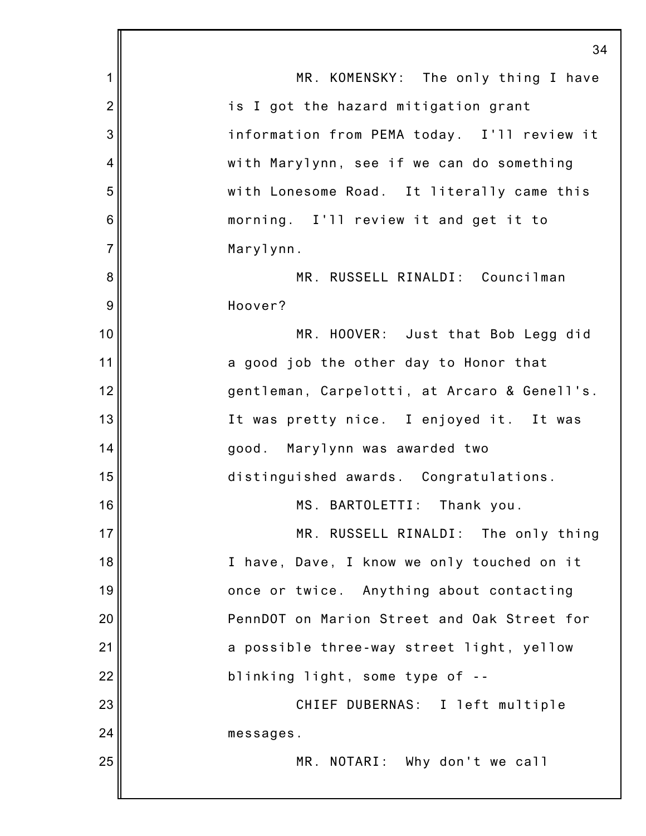|                | 34                                           |
|----------------|----------------------------------------------|
| 1              | MR. KOMENSKY: The only thing I have          |
| $\overline{2}$ | is I got the hazard mitigation grant         |
| 3              | information from PEMA today. I'll review it  |
| $\overline{4}$ | with Marylynn, see if we can do something    |
| 5              | with Lonesome Road. It literally came this   |
| 6              | morning. I'll review it and get it to        |
| $\overline{7}$ | Marylynn.                                    |
| 8              | MR. RUSSELL RINALDI: Councilman              |
| 9              | Hoover?                                      |
| 10             | MR. HOOVER: Just that Bob Legg did           |
| 11             | a good job the other day to Honor that       |
| 12             | gentleman, Carpelotti, at Arcaro & Genell's. |
| 13             | It was pretty nice. I enjoyed it. It was     |
| 14             | good. Marylynn was awarded two               |
| 15             | distinguished awards. Congratulations.       |
| 16             | MS. BARTOLETTI: Thank you.                   |
| 17             | MR. RUSSELL RINALDI: The only thing          |
| 18             | I have, Dave, I know we only touched on it   |
| 19             | once or twice. Anything about contacting     |
| 20             | PennDOT on Marion Street and Oak Street for  |
| 21             | a possible three-way street light, yellow    |
| 22             | blinking light, some type of --              |
| 23             | CHIEF DUBERNAS: I left multiple              |
| 24             | messages.                                    |
| 25             | MR. NOTARI: Why don't we call                |
|                |                                              |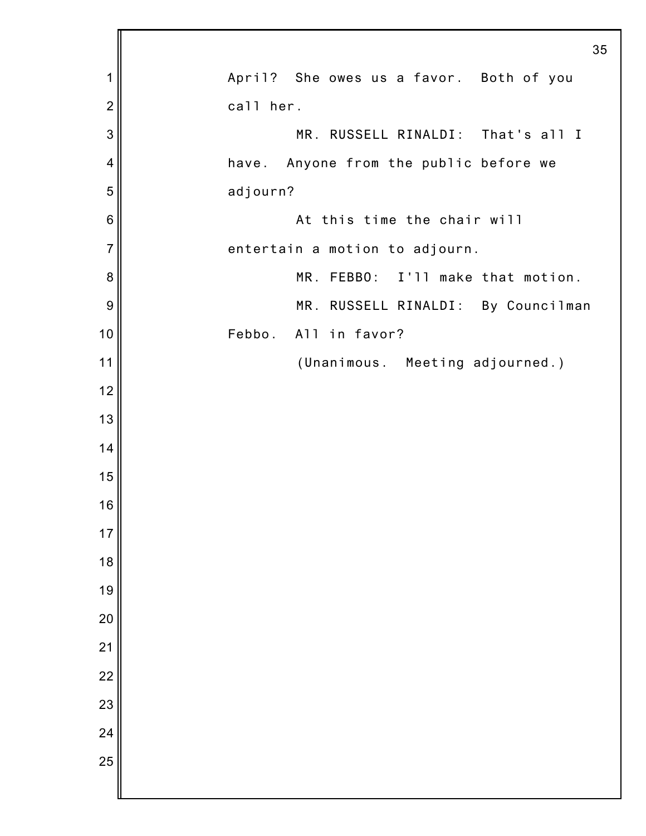|                | 35                                      |  |
|----------------|-----------------------------------------|--|
| 1              | April? She owes us a favor. Both of you |  |
| $\overline{2}$ | call her.                               |  |
| 3              | MR. RUSSELL RINALDI: That's all I       |  |
| 4              | have. Anyone from the public before we  |  |
| 5              | adjourn?                                |  |
| 6              | At this time the chair will             |  |
| $\overline{7}$ | entertain a motion to adjourn.          |  |
| 8              | MR. FEBBO: I'll make that motion.       |  |
| 9              | MR. RUSSELL RINALDI: By Councilman      |  |
| 10             | Febbo. All in favor?                    |  |
| 11             | (Unanimous. Meeting adjourned.)         |  |
| 12             |                                         |  |
| 13             |                                         |  |
| 14             |                                         |  |
| 15             |                                         |  |
| 16             |                                         |  |
| 17             |                                         |  |
| 18             |                                         |  |
| 19             |                                         |  |
| 20             |                                         |  |
| 21             |                                         |  |
| 22             |                                         |  |
| 23             |                                         |  |
| 24             |                                         |  |
| 25             |                                         |  |
|                |                                         |  |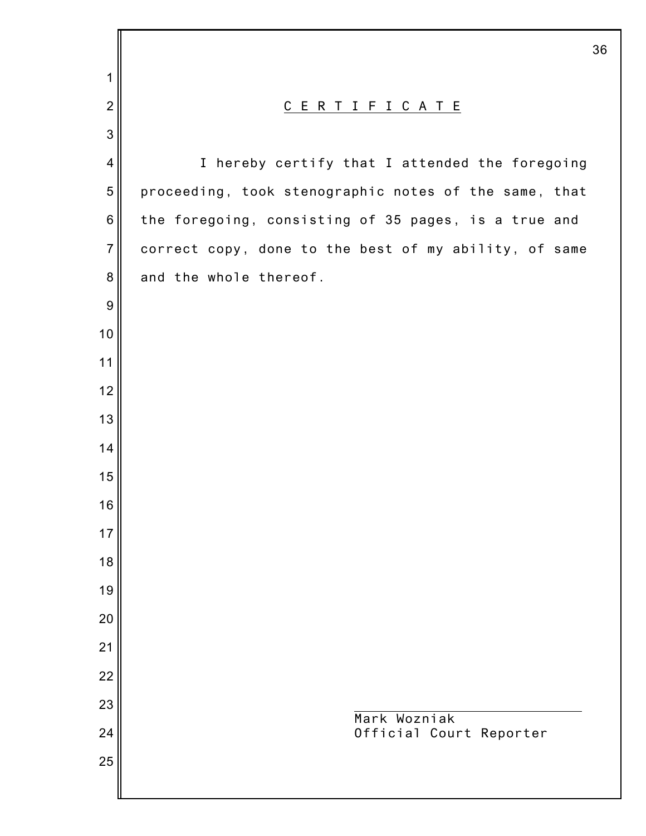|                  | 36                                                    |
|------------------|-------------------------------------------------------|
| 1                |                                                       |
| $\overline{2}$   | C E R T I F I C A T E                                 |
| $\mathbf{3}$     |                                                       |
| $\overline{4}$   | I hereby certify that I attended the foregoing        |
| $\sqrt{5}$       | proceeding, took stenographic notes of the same, that |
| $\,$ 6 $\,$      | the foregoing, consisting of 35 pages, is a true and  |
| $\overline{7}$   | correct copy, done to the best of my ability, of same |
| $\bf 8$          | and the whole thereof.                                |
| $\boldsymbol{9}$ |                                                       |
| 10               |                                                       |
| 11               |                                                       |
| 12               |                                                       |
| 13               |                                                       |
| 14               |                                                       |
| 15               |                                                       |
| 16               |                                                       |
| 17               |                                                       |
| 18               |                                                       |
| 19               |                                                       |
| 20               |                                                       |
| 21               |                                                       |
| 22<br>23         |                                                       |
| 24               | Mark Wozniak<br>Official Court Reporter               |
| 25               |                                                       |
|                  |                                                       |
|                  |                                                       |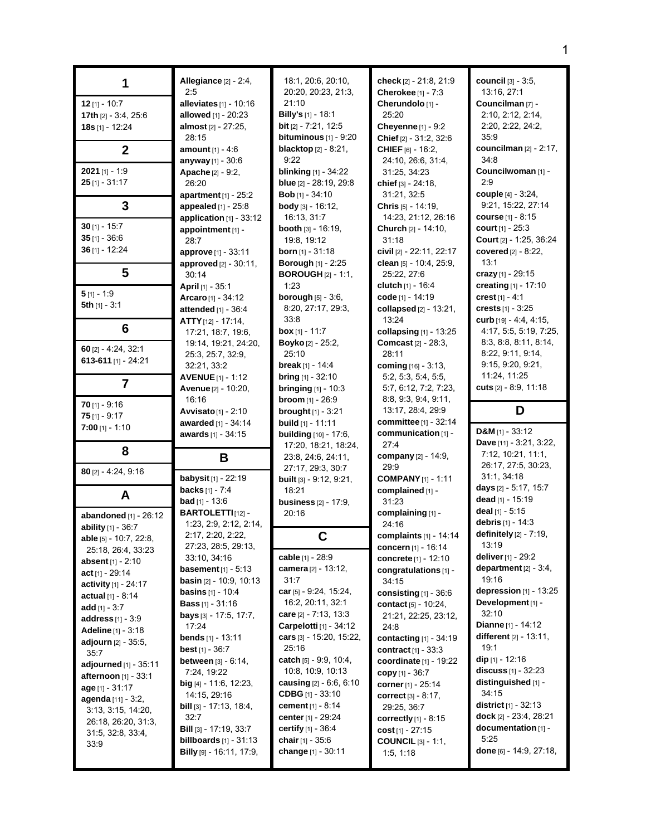|                                                      | Allegiance [2] - 2:4,<br>2:5                                | 18:1, 20:6, 20:10,<br>20:20, 20:23, 21:3,                  | check [2] - 21:8, 21:9<br>Cherokee [1] - 7:3               | council [3] - 3:5,<br>13:16, 27:1                             |
|------------------------------------------------------|-------------------------------------------------------------|------------------------------------------------------------|------------------------------------------------------------|---------------------------------------------------------------|
| $12$ [1] - 10:7                                      | alleviates $[1]$ - 10:16                                    | 21:10                                                      | Cherundolo [1] -                                           | Councilman [7] -                                              |
| 17th [2] - 3:4, 25:6<br>18s [1] - 12:24              | allowed [1] - 20:23<br>almost [2] - 27:25,                  | <b>Billy's</b> [1] - 18:1<br><b>bit</b> $[2] - 7:21, 12:5$ | 25:20<br><b>Cheyenne</b> $[1] - 9:2$                       | 2:10, 2:12, 2:14,<br>2:20, 2:22, 24:2,                        |
|                                                      | 28:15                                                       | bituminous $[1]$ - $9:20$                                  | Chief [2] - 31:2, 32:6                                     | 35:9                                                          |
| $\mathbf{2}$                                         | <b>amount</b> $[1] - 4:6$                                   | <b>blacktop</b> $[2] - 8:21$ ,                             | <b>CHIEF</b> $[6] - 16:2$                                  | councilman $[2] - 2:17$ ,<br>34:8                             |
| $2021$ [1] - 1:9                                     | anyway [1] - 30:6<br>Apache <sup>[2]</sup> - 9:2,           | 9:22<br><b>blinking</b> [1] - 34:22                        | 24:10, 26:6, 31:4,<br>31:25, 34:23                         | Councilwoman [1] -                                            |
| $25$ [1] - 31:17                                     | 26:20                                                       | blue [2] - 28:19, 29:8                                     | chief [3] - 24:18.                                         | 2:9                                                           |
| 3                                                    | apartment $[1]$ - 25:2                                      | Bob [1] - 34:10                                            | 31:21, 32:5                                                | couple [4] - 3:24,<br>9:21, 15:22, 27:14                      |
|                                                      | appealed $[1]$ - 25:8<br>application $[1]$ - 33:12          | <b>body</b> $[3] - 16:12$ ,<br>16:13, 31:7                 | Chris [5] - 14:19,<br>14:23, 21:12, 26:16                  | <b>course</b> [1] - 8:15                                      |
| $30$ [1] - 15:7                                      | appointment [1] -                                           | <b>booth</b> $[3] - 16:19$ ,                               | Church [2] - 14:10,                                        | court $[1] - 25:3$                                            |
| $35$ [1] - 36:6<br>$36$ [1] - 12:24                  | 28:7                                                        | 19:8, 19:12<br><b>born</b> [1] - $31:18$                   | 31:18<br>civil [2] - 22:11, 22:17                          | Court [2] - 1:25, 36:24<br>covered [2] - 8:22,                |
|                                                      | approve [1] - 33:11<br>approved [2] - 30:11,                | <b>Borough [1] - 2:25</b>                                  | clean $[5] - 10.4$ , 25.9,                                 | 13:1                                                          |
| 5                                                    | 30:14                                                       | <b>BOROUGH</b> [2] - 1:1,                                  | 25:22, 27:6                                                | crazy [1] - 29:15                                             |
| $5$ [1] - 1.9                                        | April [1] - 35:1                                            | 1:23<br><b>borough</b> $[5] - 3:6$ .                       | <b>clutch</b> [1] - 16:4<br>code [1] - 14:19               | creating $[1] - 17:10$<br>crest $[1] - 4:1$                   |
| 5th $[1] - 3.1$                                      | Arcaro [1] - 34:12<br>attended [1] - 36:4                   | 8:20, 27:17, 29:3,                                         | collapsed [2] - 13:21,                                     | crests $[1] - 3:25$                                           |
|                                                      | $ATTY$ [12] - 17:14,                                        | 33:8                                                       | 13:24                                                      | curb $[19] - 4.4, 4.15,$                                      |
| 6                                                    | 17:21, 18:7, 19:6,<br>19:14, 19:21, 24:20,                  | <b>box</b> [1] - 11:7<br><b>Boyko</b> [2] - $25:2$ ,       | collapsing $[1]$ - 13:25<br><b>Comcast [2] - 28:3.</b>     | 4:17, 5:5, 5:19, 7:25,<br>8:3, 8:8, 8:11, 8:14,               |
| $60$ [2] - 4:24, 32:1                                | 25:3, 25:7, 32:9,                                           | 25:10                                                      | 28:11                                                      | 8:22, 9:11, 9:14,                                             |
| 613-611 $[1]$ - 24:21                                | 32:21, 33:2                                                 | <b>break</b> [1] - 14:4                                    | coming [16] - 3:13,                                        | 9:15, 9:20, 9:21,                                             |
| 7                                                    | <b>AVENUE</b> [1] - 1:12<br>Avenue [2] - 10:20,             | <b>bring</b> $[1]$ - 32:10<br><b>bringing</b> $[1] - 10:3$ | 5:2, 5:3, 5:4, 5:5,<br>5:7, 6:12, 7:2, 7:23,               | 11:24, 11:25<br>cuts $[2] - 8.9, 11.18$                       |
| $70$ [1] - 9:16                                      | 16:16                                                       | broom [1] - 26:9                                           | 8.8, 9.3, 9.4, 9.11,                                       |                                                               |
| $75$ [1] - 9:17                                      | Avvisato <sub>[1]</sub> - 2:10                              | <b>brought</b> $[1] - 3:21$                                | 13:17, 28:4, 29:9                                          | D                                                             |
| $7:00$ [1] - 1:10                                    | awarded [1] - 34:14                                         | <b>build</b> $[1]$ - 11:11                                 | <b>committee</b> $[1]$ - 32:14                             |                                                               |
|                                                      |                                                             |                                                            |                                                            | D&M $[1]$ - 33:12                                             |
|                                                      | awards [1] - 34:15                                          | <b>building</b> [10] - 17:6,<br>17:20, 18:21, 18:24,       | communication [1] -<br>27:4                                | Dave [11] - 3:21, 3:22,                                       |
| 8                                                    | B                                                           | 23:8, 24:6, 24:11,                                         | company [2] - 14:9,                                        | 7:12, 10:21, 11:1,                                            |
| $80$ [2] - 4:24, 9:16                                | babysit [1] - 22:19                                         | 27:17, 29:3, 30:7                                          | 29.9<br><b>COMPANY</b> [1] - 1:11                          | 26:17, 27:5, 30:23,<br>31:1, 34:18                            |
|                                                      | <b>backs</b> $[1] - 7.4$                                    | built [3] - 9:12, 9:21,<br>18:21                           | complained [1] -                                           | days [2] - 5:17, 15:7                                         |
| A                                                    | <b>bad</b> $[1] - 13:6$                                     | <b>business</b> [2] - 17:9,                                | 31:23                                                      | <b>dead</b> [1] - 15:19                                       |
| abandoned [1] - 26:12                                | <b>BARTOLETTI</b> [12]-<br>1:23, 2:9, 2:12, 2:14,           | 20:16                                                      | complaining [1] -<br>24:16                                 | deal $[1] - 5:15$<br>debris [1] - 14:3                        |
| ability [1] - 36:7<br>able [5] - 10:7, 22:8,         | 2:17, 2:20, 2:22,                                           |                                                            | complaints [1] - 14:14                                     | definitely [2] - 7:19,                                        |
| 25:18, 26:4, 33:23                                   | 27:23, 28:5, 29:13,<br>33:10, 34:16                         | cable [1] - 28:9                                           | concern [1] - 16:14                                        | 13:19<br><b>deliver</b> [1] - 29:2                            |
| absent $[1] - 2:10$                                  | <b>basement</b> [1] - 5:13                                  | camera [2] - 13:12,                                        | concrete [1] - 12:10<br>congratulations [1] -              | department $[2] - 3:4$ ,                                      |
| $act_{[1]} - 29:14$<br><b>activity</b> $[1] - 24:17$ | <b>basin</b> $[2]$ - 10:9, 10:13                            | 31:7                                                       | 34:15                                                      | 19:16                                                         |
| actual $[1] - 8:14$                                  | <b>basins</b> $[1]$ - 10:4                                  | car $[5]$ - 9:24, 15:24,<br>16:2, 20:11, 32:1              | consisting $[1]$ - 36:6                                    | depression $[1]$ - $13:25$<br>Development [1] -               |
| <b>add</b> [1] - $3:7$                               | <b>Bass</b> $[1] - 31:16$<br>bays [3] - 17:5, 17:7,         | <b>care</b> [2] - 7:13, 13:3                               | contact [5] - 10:24,<br>21:21, 22:25, 23:12,               | 32:10                                                         |
| <b>address</b> $[1] - 3.9$<br>Adeline [1] - 3:18     | 17:24                                                       | Carpelotti [1] - 34:12                                     | 24:8                                                       | Dianne [1] - 14:12                                            |
| <b>adjourn</b> $[2] - 35.5$ ,                        | <b>bends</b> $[1]$ - 13:11<br><b>best</b> [1] - $36:7$      | cars [3] - 15:20, 15:22,<br>25:16                          | contacting $[1]$ - 34:19                                   | different [2] - 13:11,<br>19:1                                |
| 35:7<br>adjourned $[1] - 35:11$                      | <b>between</b> $[3] - 6:14$ ,                               | catch [5] - 9.9, 10.4,                                     | <b>contract</b> $[1] - 33.3$<br>coordinate [1] - 19:22     | <b>dip</b> [1] - 12:16                                        |
| <b>afternoon</b> [1] - 33:1                          | 7:24, 19:22                                                 | 10:8, 10:9, 10:13                                          | copy $[1] - 36:7$                                          | <b>discuss</b> [1] - 32:23                                    |
| age [1] - 31:17                                      | <b>big</b> [4] - 11:6, 12:23,<br>14:15, 29:16               | causing $[2] - 6.6, 6.10$<br><b>CDBG</b> $[1]$ - 33:10     | <b>corner</b> [1] - 25:14<br><b>correct</b> $[3] - 8:17$ , | distinguished [1] -<br>34:15                                  |
| agenda [11] - 3:2,<br>3:13, 3:15, 14:20,             | <b>bill</b> [3] - 17:13, 18:4,                              | cement [1] - 8:14                                          | 29:25, 36:7                                                | <b>district</b> $[1] - 32:13$                                 |
| 26:18, 26:20, 31:3,                                  | 32:7                                                        | center [1] - 29:24                                         | <b>correctly</b> $[1] - 8.15$                              | dock [2] - 23:4, 28:21                                        |
| 31:5, 32:8, 33:4,<br>33.9                            | <b>Bill</b> $[3] - 17:19, 33:7$<br>billboards $[1] - 31:13$ | <b>certify</b> $[1] - 36.4$<br>chair $[1] - 35.6$          | cost [1] - 27:15<br><b>COUNCIL</b> $[3] - 1:1$ ,           | documentation [1] -<br>5:25<br><b>done</b> [6] - 14:9, 27:18, |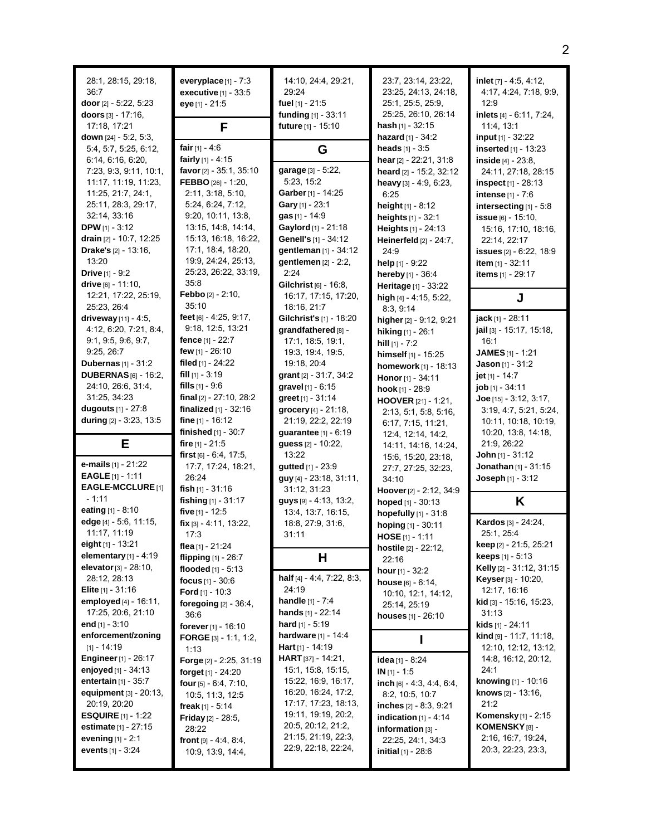| 28:1, 28:15, 29:18,<br>36:7<br>door $[2] - 5:22, 5:23$<br>doors [3] - 17:16,<br>17:18, 17:21                                                                                                                                                                                                                                          | everyplace $[1]$ - $7:3$<br>executive [1] - 33:5<br>eye [1] - 21:5<br>F                                                                                                                                                                                                              | 14:10, 24:4, 29:21,<br>29:24<br>fuel [1] - 21:5<br>funding [1] - 33:11<br>future [1] - 15:10                                                                                                                                         | 23:7, 23:14, 23:22,<br>23:25, 24:13, 24:18,<br>25:1, 25:5, 25:9,<br>25:25, 26:10, 26:14<br><b>hash</b> $[1] - 32:15$                                                                                                                                                                                  | inlet $[7] - 4.5, 4.12$ ,<br>4:17, 4:24, 7:18, 9:9,<br>12:9<br>inlets [4] - 6:11, 7:24,<br>11:4, 13:1                                                                                                                                                                                                                        |
|---------------------------------------------------------------------------------------------------------------------------------------------------------------------------------------------------------------------------------------------------------------------------------------------------------------------------------------|--------------------------------------------------------------------------------------------------------------------------------------------------------------------------------------------------------------------------------------------------------------------------------------|--------------------------------------------------------------------------------------------------------------------------------------------------------------------------------------------------------------------------------------|-------------------------------------------------------------------------------------------------------------------------------------------------------------------------------------------------------------------------------------------------------------------------------------------------------|------------------------------------------------------------------------------------------------------------------------------------------------------------------------------------------------------------------------------------------------------------------------------------------------------------------------------|
| down $[24] - 5:2, 5:3,$<br>5:4, 5:7, 5:25, 6:12,<br>6.14, 6.16, 6.20,<br>7:23, 9:3, 9:11, 10:1,<br>11:17, 11:19, 11:23,<br>11:25, 21:7, 24:1,<br>25:11, 28:3, 29:17,<br>32:14, 33:16<br><b>DPW</b> $[1] - 3:12$<br>drain [2] - 10:7, 12:25<br><b>Drake's</b> $[2] - 13:16$ ,<br>13:20<br><b>Drive</b> [1] - 9:2<br>drive [6] - 11:10, | fair $[1] - 4:6$<br>fairly $[1] - 4.15$<br>favor [2] - 35:1, 35:10<br>FEBBO [26] - 1:20,<br>2:11, 3:18, 5:10,<br>5:24, 6:24, 7:12,<br>9:20, 10:11, 13:8,<br>13:15, 14:8, 14:14,<br>15:13, 16:18, 16:22,<br>17:1, 18:4, 18:20,<br>19.9, 24.24, 25.13,<br>25:23, 26:22, 33:19,<br>35:8 | G<br>garage [3] - 5:22,<br>5:23, 15:2<br>Garber [1] - 14:25<br>Gary [1] - 23:1<br>gas [1] - 14:9<br>Gaylord [1] - 21:18<br>Genell's [1] - 34:12<br>gentleman [1] - 34:12<br>gentlemen $[2] - 2:2$ ,<br>2:24<br>Gilchrist [6] - 16:8, | hazard [1] - 34:2<br>heads $[1] - 3.5$<br>hear [2] - 22:21, 31:8<br>heard [2] - 15:2, 32:12<br>heavy $[3] - 4.9, 6.23,$<br>6.25<br>height [1] - 8:12<br>heights [1] - 32:1<br>Heights [1] - 24:13<br>Heinerfeld [2] - 24:7,<br>24:9<br>help $[1] - 9:22$<br>hereby [1] - 36:4<br>Heritage [1] - 33:22 | input [1] - 32:22<br><b>inserted</b> $[1] - 13:23$<br>inside $[4] - 23.8$ ,<br>24:11, 27:18, 28:15<br><b>inspect</b> $[1]$ - 28:13<br>intense [1] - 7:6<br>intersecting [1] - 5:8<br>issue [6] - 15:10.<br>15:16, 17:10, 18:16,<br>22:14, 22:17<br><b>issues</b> $[2] - 6:22, 18:9$<br>item [1] - 32:11<br>items [1] - 29:17 |
| 12:21, 17:22, 25:19,<br>25:23, 26:4                                                                                                                                                                                                                                                                                                   | Febbo [2] - 2:10,<br>35:10                                                                                                                                                                                                                                                           | 16:17, 17:15, 17:20,<br>18:16, 21:7                                                                                                                                                                                                  | high [4] - 4:15, 5:22,<br>8:3, 9:14                                                                                                                                                                                                                                                                   | J                                                                                                                                                                                                                                                                                                                            |
| driveway [11] - 4:5,<br>4:12, 6:20, 7:21, 8:4,<br>9.1, 9.5, 9.6, 9.7,<br>9:25, 26:7<br><b>Dubernas</b> $[1] - 31:2$                                                                                                                                                                                                                   | feet [6] - 4:25, 9:17,<br>9:18, 12:5, 13:21<br>fence $[1] - 22:7$<br>few $[1] - 26:10$<br>filed [1] - 24:22                                                                                                                                                                          | Gilchrist's [1] - 18:20<br>qrandfathered [8] -<br>17:1, 18:5, 19:1,<br>19:3, 19:4, 19:5,<br>19:18, 20:4                                                                                                                              | higher [2] - 9:12, 9:21<br>hiking [1] - 26:1<br>hill $[1] - 7:2$<br>himself [1] - 15:25                                                                                                                                                                                                               | jack [1] - 28:11<br>jail [3] - 15:17, 15:18,<br>16:1<br>JAMES [1] - 1:21<br>Jason [1] - $31:2$                                                                                                                                                                                                                               |
| <b>DUBERNAS</b> [6] - 16:2,<br>24:10, 26:6, 31:4,<br>31:25, 34:23<br>dugouts $[1] - 27.8$<br>during [2] - 3:23, 13:5                                                                                                                                                                                                                  | fill $[1]$ - 3:19<br>fills $[1] - 9.6$<br>final $[2] - 27:10, 28:2$<br>finalized $[1]$ - 32:16<br>fine $[1] - 16:12$                                                                                                                                                                 | grant $[2] - 31:7, 34:2$<br>gravel [1] - 6:15<br>greet [1] - 31:14<br>grocery [4] - 21:18,<br>21:19, 22:2, 22:19                                                                                                                     | homework [1] - 18:13<br>Honor [1] - 34:11<br>hook $[1]$ - 28:9<br>HOOVER [21] - 1:21,<br>2:13, 5:1, 5:8, 5:16,<br>6:17, 7:15, 11:21,                                                                                                                                                                  | jet $[1] - 14.7$<br>job [1] - 34:11<br>Joe $[15] - 3.12, 3.17,$<br>3:19, 4:7, 5:21, 5:24,<br>10:11, 10:18, 10:19,                                                                                                                                                                                                            |
| Е                                                                                                                                                                                                                                                                                                                                     | finished $[1] - 30:7$<br>fire $[1] - 21.5$<br>first $[6] - 6.4, 17.5,$                                                                                                                                                                                                               | <b>guarantee</b> $[1] - 6:19$<br>guess [2] - 10:22,<br>13:22                                                                                                                                                                         | 12:4, 12:14, 14:2,<br>14:11, 14:16, 14:24,                                                                                                                                                                                                                                                            | 10:20, 13:8, 14:18,<br>21.9, 26:22<br><b>John</b> [1] - $31:12$                                                                                                                                                                                                                                                              |
| <b>e-mails</b> $[1]$ - 21:22<br><b>EAGLE</b> [1] - 1:11<br>EAGLE-MCCLURE [1]                                                                                                                                                                                                                                                          | 17:7, 17:24, 18:21,<br>26:24<br>fish [1] - 31:16                                                                                                                                                                                                                                     | gutted [1] - 23:9<br>guy [4] - 23:18, 31:11,<br>31:12, 31:23                                                                                                                                                                         | 15.6, 15:20, 23:18,<br>27:7, 27:25, 32:23,<br>34:10<br>Hoover [2] - 2:12, 34:9                                                                                                                                                                                                                        | Jonathan [1] - 31:15<br>Joseph [1] - 3:12                                                                                                                                                                                                                                                                                    |
| $-1:11$<br>eating $[1] - 8:10$                                                                                                                                                                                                                                                                                                        | fishing [1] - 31:17<br>five [1] - 12:5                                                                                                                                                                                                                                               | guys [9] - 4:13, 13:2,<br>13:4, 13:7, 16:15,                                                                                                                                                                                         | hoped $[1] - 30:13$                                                                                                                                                                                                                                                                                   | K                                                                                                                                                                                                                                                                                                                            |
| edge $[4] - 5.6, 11.15,$<br>11:17, 11:19<br>eight [1] - 13:21                                                                                                                                                                                                                                                                         | $fix$ [3] - 4:11, 13:22,<br>17:3<br>flea [1] - $21.24$                                                                                                                                                                                                                               | 18.8, 27:9, 31:6,<br>31:11                                                                                                                                                                                                           | hopefully [1] - 31:8<br>hoping [1] - 30:11<br>$HOSE [1] - 1:11$<br>hostile [2] - 22:12,                                                                                                                                                                                                               | Kardos [3] - 24:24,<br>25:1, 25:4<br>keep [2] - 21:5, 25:21                                                                                                                                                                                                                                                                  |
| elementary $[1] - 4:19$                                                                                                                                                                                                                                                                                                               | flipping $[1] - 26.7$                                                                                                                                                                                                                                                                | H                                                                                                                                                                                                                                    | 22:16                                                                                                                                                                                                                                                                                                 | <b>keeps</b> $[1] - 5:13$                                                                                                                                                                                                                                                                                                    |
| elevator [3] - 28:10,<br>28:12, 28:13<br><b>Elite</b> $[1] - 31:16$<br>employed [4] - 16:11,<br>17:25, 20:6, 21:10<br>end $[1] - 3.10$                                                                                                                                                                                                | flooded $[1] - 5:13$<br>focus $[1] - 30.6$<br><b>Ford</b> $[1]$ - 10:3<br>foregoing $[2] - 36.4$ ,<br>36:6<br>forever [1] - 16:10                                                                                                                                                    | half [4] - 4:4, 7:22, 8:3,<br>24:19<br><b>handle</b> $[1] - 7:4$<br>hands $[1] - 22:14$<br>hard $[1] - 5:19$                                                                                                                         | hour [1] - 32:2<br>house $[6] - 6:14$ ,<br>10:10, 12:1, 14:12,<br>25:14, 25:19<br><b>houses</b> $[1]$ - 26:10                                                                                                                                                                                         | Kelly [2] - 31:12, 31:15<br>Keyser [3] - 10:20,<br>12:17, 16:16<br><b>kid</b> [3] - 15:16, 15:23,<br>31:13<br>kids [1] - 24:11                                                                                                                                                                                               |
| enforcement/zoning<br>$[1] - 14.19$                                                                                                                                                                                                                                                                                                   | <b>FORGE</b> [3] - 1:1, 1:2,                                                                                                                                                                                                                                                         | hardware [1] - 14:4<br><b>Hart</b> [1] - 14:19                                                                                                                                                                                       | ı                                                                                                                                                                                                                                                                                                     | <b>kind</b> $[9] - 11.7, 11.18$<br>12:10, 12:12, 13:12,                                                                                                                                                                                                                                                                      |
| <b>Engineer</b> [1] - 26:17<br>enjoyed $[1]$ - 34:13<br>entertain [1] - 35:7<br>equipment [3] - 20:13,<br>20:19, 20:20<br><b>ESQUIRE</b> $[1]$ - 1:22<br><b>estimate</b> $[1] - 27:15$<br>evening $[1] - 2.1$<br>events $[1] - 3:24$                                                                                                  | 1:13<br>Forge [2] - 2:25, 31:19<br>forget [1] - 24:20<br><b>four</b> $[5] - 6.4$ , $7.10$ ,<br>10:5, 11:3, 12:5<br>freak [1] - $5:14$<br><b>Friday</b> $[2] - 28:5$ ,<br>28:22<br>front $[9] - 4.4, 8.4,$<br>10:9, 13:9, 14:4,                                                       | HART [37] - 14:21,<br>15:1, 15:8, 15:15,<br>15:22, 16:9, 16:17,<br>16:20, 16:24, 17:2,<br>17:17, 17:23, 18:13,<br>19:11, 19:19, 20:2,<br>20:5, 20:12, 21:2,<br>21:15, 21:19, 22:3,<br>22.9, 22.18, 22.24,                            | idea [1] - 8:24<br>$IN [1] - 1:5$<br>inch $[6] - 4.3, 4.4, 6.4,$<br>8:2, 10:5, 10:7<br>inches $[2] - 8.3, 9.21$<br>indication $[1] - 4.14$<br>information [3] -<br>22:25, 24:1, 34:3<br><b>initial</b> $[1] - 28.6$                                                                                   | 14:8, 16:12, 20:12,<br>24:1<br>knowing [1] - 10:16<br>knows [2] - 13:16,<br>21:2<br>Komensky [1] - 2:15<br>KOMENSKY [8] -<br>2:16, 16:7, 19:24,<br>20:3, 22:23, 23:3,                                                                                                                                                        |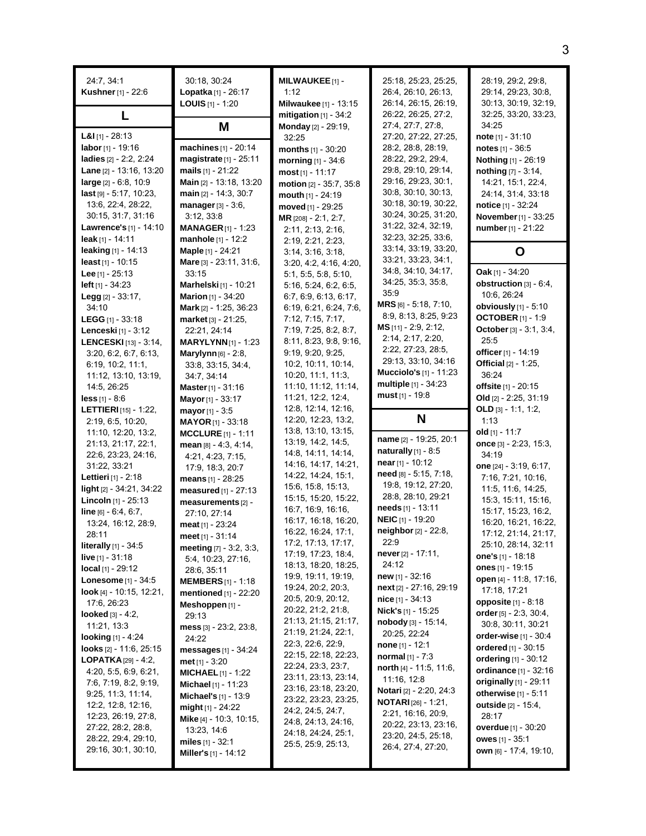| 24.7, 34.1<br>Kushner [1] - 22:6       | 30:18, 30:24<br>Lopatka [1] - 26:17<br><b>LOUIS</b> $[1]$ - 1:20 | <b>MILWAUKEE</b> [1] -<br>1:12<br>Milwaukee [1] - 13:15 | 25:18, 25:23, 25:25,<br>26:4, 26:10, 26:13,<br>26:14, 26:15, 26:19, | 28:19, 29:2, 29:8,<br>29:14, 29:23, 30:8,<br>30:13, 30:19, 32:19, |
|----------------------------------------|------------------------------------------------------------------|---------------------------------------------------------|---------------------------------------------------------------------|-------------------------------------------------------------------|
|                                        | Μ                                                                | mitigation $[1]$ - 34:2<br>Monday [2] - 29:19,          | 26:22, 26:25, 27:2,<br>27:4, 27:7, 27:8,                            | 32:25, 33:20, 33:23,<br>34:25                                     |
| <b>L&amp;I</b> $[1]$ - 28:13           |                                                                  | 32:25                                                   | 27:20, 27:22, 27:25,                                                | note $[1] - 31:10$                                                |
| labor [1] - 19:16                      | machines [1] - 20:14                                             | months [1] - 30:20                                      | 28:2, 28:8, 28:19,                                                  | notes $[1] - 36.5$                                                |
| ladies [2] - 2:2, 2:24                 | magistrate [1] - 25:11                                           | morning $[1] - 34:6$                                    | 28:22, 29:2, 29:4,                                                  | <b>Nothing</b> [1] - 26:19                                        |
| Lane [2] - 13:16, 13:20                | mails $[1] - 21:22$                                              | $most$ [1] - 11:17                                      | 29:8, 29:10, 29:14,                                                 | nothing $[7] - 3.14$ ,                                            |
| large [2] - 6:8, 10:9                  | Main [2] - 13:18, 13:20                                          | motion [2] - 35:7, 35:8                                 | 29:16, 29:23, 30:1,                                                 | 14:21, 15:1, 22:4,                                                |
| last [9] - 5:17, 10:23,                | main [2] - 14:3, 30:7                                            | mouth [1] - 24:19                                       | 30.8, 30.10, 30.13,                                                 | 24:14, 31:4, 33:18                                                |
| 13:6, 22:4, 28:22,                     | <b>manager</b> $[3] - 3.6$ ,                                     | moved [1] - 29:25                                       | 30:18, 30:19, 30:22,                                                | notice [1] - 32:24                                                |
| 30:15, 31:7, 31:16                     | 3:12, 33:8                                                       | MR [208] - 2:1, 2:7,                                    | 30:24, 30:25, 31:20,                                                | November [1] - 33:25                                              |
| Lawrence's [1] - 14:10                 | <b>MANAGER</b> $[1]$ - 1:23                                      | 2:11, 2:13, 2:16,                                       | 31:22, 32:4, 32:19,<br>32:23, 32:25, 33:6,                          | number [1] - 21:22                                                |
| leak [1] - 14:11                       | manhole [1] - 12:2                                               | 2:19, 2:21, 2:23,                                       | 33:14, 33:19, 33:20,                                                |                                                                   |
| leaking $[1] - 14:13$                  | Maple [1] - 24:21                                                | 3:14, 3:16, 3:18,                                       | 33:21, 33:23, 34:1,                                                 | Ο                                                                 |
| least $[1] - 10:15$                    | Mare [3] - 23:11, 31:6,                                          | 3.20, 4.2, 4.16, 4.20,                                  | 34:8, 34:10, 34:17,                                                 | <b>Oak</b> [1] - $34:20$                                          |
| <b>Lee</b> [1] - 25:13                 | 33:15                                                            | 5:1, 5:5, 5:8, 5:10,                                    | 34:25, 35:3, 35:8,                                                  | obstruction [3] - 6:4,                                            |
| left [1] - 34:23                       | Marhelski [1] - 10:21                                            | 5.16, 5.24, 6.2, 6.5,                                   | 35.9                                                                | 10:6, 26:24                                                       |
| Legg [2] - 33:17,<br>34:10             | <b>Marion</b> [1] - 34:20<br>Mark [2] - 1:25, 36:23              | 6:7, 6:9, 6:13, 6:17,<br>6:19, 6:21, 6:24, 7:6,         | $MRS$ [6] - 5:18, 7:10,                                             | obviously [1] - 5:10                                              |
| LEGG $[1]$ - 33:18                     | market [3] - 21:25,                                              | 7:12, 7:15, 7:17,                                       | 8.9, 8.13, 8.25, 9.23                                               | <b>OCTOBER</b> [1] - 1:9                                          |
| Lenceski [1] - 3:12                    | 22:21, 24:14                                                     | 7:19, 7:25, 8:2, 8:7,                                   | MS [11] - 2:9, 2:12,                                                | October [3] - 3:1, 3:4,                                           |
| LENCESKI [13] - 3:14,                  | <b>MARYLYNN</b> [1] - 1:23                                       | 8:11, 8:23, 9:8, 9:16,                                  | 2:14, 2:17, 2:20,                                                   | 25:5                                                              |
| 3:20, 6:2, 6:7, 6:13,                  | Marylynn [6] - 2:8,                                              | 9:19, 9:20, 9:25,                                       | 2:22, 27:23, 28:5,                                                  | officer [1] - 14:19                                               |
| 6:19, 10:2, 11:1,                      | 33:8, 33:15, 34:4,                                               | 10:2, 10:11, 10:14,                                     | 29:13, 33:10, 34:16                                                 | <b>Official</b> [2] - 1:25,                                       |
| 11:12, 13:10, 13:19,                   | 34:7, 34:14                                                      | 10:20, 11:1, 11:3,                                      | <b>Mucciolo's</b> [1] - 11:23                                       | 36:24                                                             |
| 14:5, 26:25                            | <b>Master</b> [1] - 31:16                                        | 11:10, 11:12, 11:14,                                    | multiple [1] - 34:23                                                | offsite [1] - 20:15                                               |
| $less_{[1]} - 8.6$                     | Mayor [1] - 33:17                                                | 11:21, 12:2, 12:4,                                      | must $[1]$ - 19:8                                                   | Old [2] - 2:25, 31:19                                             |
| <b>LETTIERI</b> $[15] - 1.22$          | mayor [1] - 3:5                                                  | 12:8, 12:14, 12:16,                                     |                                                                     | OLD $[3] - 1.1, 1.2,$                                             |
| 2:19, 6:5, 10:20,                      | <b>MAYOR</b> [1] - 33:18                                         | 12:20, 12:23, 13:2,                                     | N                                                                   | 1:13                                                              |
| 11:10, 12:20, 13:2,                    | <b>MCCLURE</b> $[1] - 1:11$                                      | 13:8, 13:10, 13:15,                                     |                                                                     | <b>old</b> [1] - 11:7                                             |
| 21:13, 21:17, 22:1,                    | mean $[8] - 4.3, 4.14,$                                          | 13:19, 14:2, 14:5,                                      | name [2] - 19:25, 20:1                                              | once [3] - 2:23, 15:3,                                            |
| 22:6, 23:23, 24:16,                    | 4:21, 4:23, 7:15,                                                | 14:8, 14:11, 14:14,                                     | naturally $[1]$ - 8:5<br>near $[1]$ - 10:12                         | 34:19                                                             |
| 31.22, 33.21                           | 17:9, 18:3, 20:7                                                 | 14:16, 14:17, 14:21,                                    | need [8] - 5:15, 7:18,                                              | one $[24] - 3:19, 6:17,$                                          |
| Lettieri [1] - 2:18                    | means [1] - 28:25                                                | 14:22, 14:24, 15:1,                                     | 19:8, 19:12, 27:20,                                                 | 7:16, 7:21, 10:16,                                                |
| light [2] - 34:21, 34:22               | measured $[1]$ - 27:13                                           | 15:6, 15:8, 15:13,<br>15:15, 15:20, 15:22,              | 28.8, 28.10, 29.21                                                  | 11:5, 11:6, 14:25,                                                |
| Lincoln [1] - 25:13                    | measurements [2] -                                               | 16:7, 16:9, 16:16,                                      | needs [1] - 13:11                                                   | 15:3, 15:11, 15:16,                                               |
| $line_{[6] - 6.4, 6.7,}$               | 27:10, 27:14                                                     | 16:17, 16:18, 16:20,                                    | <b>NEIC</b> [1] - 19:20                                             | 15:17, 15:23, 16:2,                                               |
| 13:24, 16:12, 28:9,                    | meat [1] - 23:24                                                 | 16:22, 16:24, 17:1,                                     | neighbor [2] - 22:8,                                                | 16:20, 16:21, 16:22,<br>17:12, 21:14, 21:17,                      |
| 28:11<br><b>literally</b> $[1] - 34.5$ | meet [1] - 31:14                                                 | 17:2, 17:13, 17:17,                                     | 22:9                                                                | 25:10, 28:14, 32:11                                               |
| <b>live</b> $[1] - 31:18$              | meeting $[7] - 3.2, 3.3,$                                        | 17:19, 17:23, 18:4,                                     | never [2] - 17:11,                                                  | one's $[1]$ - 18:18                                               |
| $local_{[1]} - 29:12$                  | 5.4, 10.23, 27:16,                                               | 18:13, 18:20, 18:25,                                    | 24:12                                                               | ones $[1]$ - 19:15                                                |
| <b>Lonesome</b> $[1] - 34:5$           | 28:6, 35:11<br><b>MEMBERS</b> $[1]$ - 1:18                       | 19:9, 19:11, 19:19,                                     | new [1] - 32:16                                                     | open [4] - 11:8, 17:16,                                           |
| look [4] - 10:15, 12:21,               | mentioned [1] - 22:20                                            | 19:24, 20:2, 20:3,                                      | next [2] - 27:16, 29:19                                             | 17:18, 17:21                                                      |
| 17:6, 26:23                            | Meshoppen [1] -                                                  | 20:5, 20:9, 20:12,                                      | <b>nice</b> $[1] - 34:13$                                           | opposite [1] - 8:18                                               |
| <b>looked</b> $[3] - 4:2$ ,            | 29:13                                                            | 20:22, 21:2, 21:8,                                      | <b>Nick's</b> [1] - 15:25                                           | order $[5] - 2.3, 30.4,$                                          |
| 11:21, 13:3                            | mess $[3]$ - 23:2, 23:8,                                         | 21:13, 21:15, 21:17,                                    | $\boldsymbol{n}$ obody [3] - 15:14,                                 | 30.8, 30.11, 30.21                                                |
| looking $[1] - 4:24$                   | 24:22                                                            | 21:19, 21:24, 22:1,                                     | 20:25, 22:24                                                        | order-wise [1] - 30:4                                             |
| <b>looks</b> $[2] - 11.6$ , $25.15$    | messages $[1]$ - 34:24                                           | 22:3, 22:6, 22:9,                                       | <b>none</b> $[1] - 12:1$                                            | ordered $[1] - 30:15$                                             |
| <b>LOPATKA</b> $[29] - 4:2$            | $met_{[1]} - 3:20$                                               | 22:15, 22:18, 22:23,<br>22:24, 23:3, 23:7,              | normal $[1] - 7:3$                                                  | ordering [1] - 30:12                                              |
| 4:20, 5:5, 6:9, 6:21,                  | <b>MICHAEL</b> $[1]$ - 1:22                                      | 23:11, 23:13, 23:14,                                    | north [4] - 11:5, 11:6,                                             | ordinance [1] - 32:16                                             |
| 7:6, 7:19, 8:2, 9:19,                  | <b>Michael</b> $[1]$ - 11:23                                     | 23:16, 23:18, 23:20,                                    | 11:16, 12:8                                                         | originally [1] - 29:11                                            |
| 9:25, 11:3, 11:14,                     | <b>Michael's</b> $[1]$ - 13:9                                    | 23:22, 23:23, 23:25,                                    | <b>Notari</b> [2] - 2:20, 24:3                                      | otherwise $[1] - 5:11$                                            |
| 12.2, 12.8, 12.16,                     | might $[1] - 24:22$                                              | 24:2, 24:5, 24:7,                                       | <b>NOTARI</b> $[26]$ - 1:21,<br>2:21, 16:16, 20:9,                  | <b>outside</b> [2] - 15:4,                                        |
| 12:23, 26:19, 27:8,                    | Mike [4] - 10:3, 10:15,                                          | 24:8, 24:13, 24:16,                                     | 20:22, 23:13, 23:16,                                                | 28:17                                                             |
| 27:22, 28:2, 28:8,                     | 13:23, 14:6                                                      | 24:18, 24:24, 25:1,                                     | 23:20, 24:5, 25:18,                                                 | <b>overdue</b> [1] - 30:20                                        |
| 28:22, 29:4, 29:10,                    | miles $[1] - 32.1$                                               | 25:5, 25:9, 25:13,                                      | 26.4, 27.4, 27.20,                                                  | owes [1] - 35:1                                                   |
| 29:16, 30:1, 30:10,                    | <b>Miller's</b> $[1]$ - 14:12                                    |                                                         |                                                                     | own [6] - 17:4, 19:10,                                            |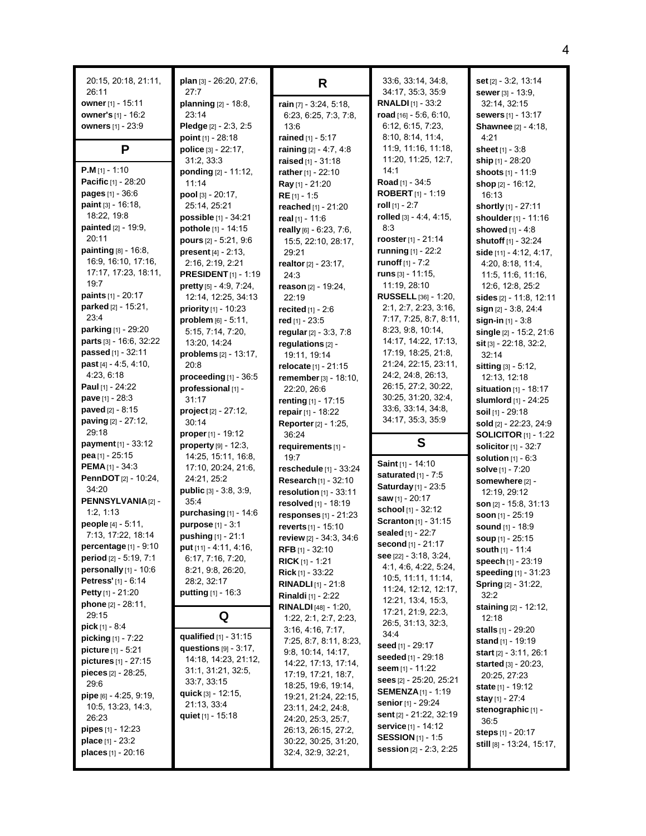| 20:15, 20:18, 21:11,<br>26:11                         | plan [3] - 26:20, 27:6,<br>27:7                  | R                                                   | 33.6, 33.14, 34.8,<br>34:17, 35:3, 35:9             | set [2] - 3:2, 13:14<br><b>sewer</b> $[3] - 13:9$ , |
|-------------------------------------------------------|--------------------------------------------------|-----------------------------------------------------|-----------------------------------------------------|-----------------------------------------------------|
| owner [1] - 15:11                                     | planning [2] - 18:8,                             | rain [7] - 3:24, 5:18,                              | <b>RNALDI</b> $[1]$ - 33:2                          | 32:14, 32:15                                        |
| owner's [1] - 16:2                                    | 23:14                                            | 6:23, 6:25, 7:3, 7:8,                               | road $[16] - 5.6, 6.10,$                            | sewers [1] - 13:17                                  |
| <b>owners</b> [1] - 23:9                              | Pledge [2] - 2:3, 2:5                            | 13:6                                                | 6:12, 6:15, 7:23,                                   | <b>Shawnee</b> [2] - 4:18,                          |
|                                                       | point $[1] - 28:18$                              | rained [1] - 5:17                                   | 8:10, 8:14, 11:4,                                   | 4:21                                                |
| P                                                     | police [3] - 22:17,                              | raining [2] - 4:7, 4:8                              | 11:9, 11:16, 11:18,                                 | sheet $[1] - 3.8$                                   |
|                                                       | 31:2, 33:3                                       | <b>raised</b> $[1] - 31:18$                         | 11:20, 11:25, 12:7,                                 | ship [1] - 28:20                                    |
| <b>P.M</b> [1] - 1:10<br>Pacific [1] - 28:20          | ponding [2] - 11:12,                             | rather [1] - 22:10                                  | 14:1<br>Road [1] - 34:5                             | shoots [1] - 11:9                                   |
| <b>pages</b> $[1] - 36.6$                             | 11:14<br>pool $[3] - 20:17$ ,                    | Ray [1] - 21:20                                     | <b>ROBERT</b> $[1]$ - 1:19                          | shop [2] - 16:12,                                   |
| paint [3] - 16:18,                                    | 25:14, 25:21                                     | $RE[1] - 1.5$<br>reached [1] - 21:20                | <b>roll</b> [1] - 2:7                               | 16:13<br>shortly [1] - 27:11                        |
| 18:22, 19:8                                           | possible [1] - 34:21                             | real $[1] - 11:6$                                   | rolled [3] - 4:4, 4:15,                             | shoulder [1] - 11:16                                |
| <b>painted</b> [2] - 19:9,                            | pothole [1] - 14:15                              | really [6] - 6:23, 7:6,                             | 8:3                                                 | showed [1] - 4:8                                    |
| 20:11                                                 | pours [2] - 5:21, 9:6                            | 15:5, 22:10, 28:17,                                 | rooster $[1] - 21:14$                               | shutoff [1] - 32:24                                 |
| painting [8] - 16:8,                                  | <b>present</b> $[4] - 2:13$ ,                    | 29:21                                               | <b>running</b> $[1] - 22:2$                         | side [11] - 4:12, 4:17,                             |
| 16.9, 16.10, 17:16,                                   | 2:16, 2:19, 2:21                                 | realtor [2] - 23:17,                                | runoff [1] - 7:2                                    | 4:20, 8:18, 11:4,                                   |
| 17:17, 17:23, 18:11,                                  | <b>PRESIDENT</b> $[1]$ - 1:19                    | 24:3                                                | runs $[3] - 11.15$ ,                                | 11:5, 11:6, 11:16,                                  |
| 19:7                                                  | pretty [5] - 4:9, 7:24,                          | reason [2] - 19:24,                                 | 11:19, 28:10                                        | 12:6, 12:8, 25:2                                    |
| paints [1] - 20:17                                    | 12:14, 12:25, 34:13                              | 22:19                                               | RUSSELL [36] - 1:20,                                | sides $[2] - 11:8, 12:11$                           |
| parked $[2] - 15:21$ ,                                | priority [1] - 10:23                             | recited $[1] - 2.6$                                 | 2:1, 2:7, 2:23, 3:16,                               | sign [2] - 3:8, 24:4                                |
| 23:4<br>parking [1] - 29:20                           | $problem [6] - 5:11,$                            | red $[1] - 23.5$                                    | 7:17, 7:25, 8:7, 8:11,                              | sign-in $[1]$ - 3:8                                 |
| parts [3] - 16:6, 32:22                               | 5:15, 7:14, 7:20,                                | regular [2] - 3:3, 7:8                              | 8:23, 9:8, 10:14,<br>14:17, 14:22, 17:13,           | single [2] - 15:2, 21:6                             |
| passed [1] - 32:11                                    | 13:20, 14:24                                     | regulations [2] -                                   | 17:19, 18:25, 21:8,                                 | <b>sit</b> [3] $-22:18$ , 32:2,                     |
| past [4] - 4:5, 4:10,                                 | problems [2] - 13:17,<br>20:8                    | 19:11, 19:14                                        | 21:24, 22:15, 23:11,                                | 32:14                                               |
| 4.23, 6.18                                            | proceeding $[1]$ - 36:5                          | relocate [1] - 21:15<br>remember [3] - 18:10,       | 24.2, 24.8, 26.13,                                  | sitting [3] - 5:12,<br>12:13, 12:18                 |
| <b>Paul</b> [1] - 24:22                               | professional [1] -                               | 22:20, 26:6                                         | 26:15, 27:2, 30:22,                                 | situation $[1]$ - 18:17                             |
| <b>pave</b> $[1] - 28:3$                              | 31:17                                            | renting [1] - 17:15                                 | 30:25, 31:20, 32:4,                                 | slumlord [1] - 24:25                                |
| <b>paved</b> $[2] - 8:15$                             | project [2] - 27:12,                             | repair $[1] - 18:22$                                | 33.6, 33.14, 34.8,                                  | soil [1] - 29:18                                    |
|                                                       |                                                  |                                                     |                                                     |                                                     |
| paving [2] - 27:12,                                   | 30:14                                            | <b>Reporter</b> [2] - 1:25,                         | 34:17, 35:3, 35:9                                   | sold [2] - 22:23, 24:9                              |
| 29:18                                                 | proper $[1] - 19:12$                             | 36:24                                               |                                                     | <b>SOLICITOR</b> [1] - 1:22                         |
| payment [1] - 33:12                                   | $property [9] - 12:3,$                           | requirements [1] -                                  | S                                                   | solicitor [1] - 32:7                                |
| pea [1] - $25:15$                                     | 14:25, 15:11, 16:8,                              | 19:7                                                |                                                     | solution $[1] - 6:3$                                |
| <b>PEMA</b> $[1] - 34:3$                              | 17:10, 20:24, 21:6,                              | reschedule [1] - 33:24                              | Saint [1] - 14:10                                   | solve [1] - 7:20                                    |
| <b>PennDOT</b> [2] - 10:24,                           | 24:21, 25:2                                      | Research [1] - 32:10                                | saturated $[1]$ - $7:5$                             | somewhere [2] -                                     |
| 34:20                                                 | <b>public</b> $[3] - 3.8, 3.9,$                  | resolution [1] - 33:11                              | Saturday [1] - 23:5                                 | 12:19, 29:12                                        |
| PENNSYLVANIA <sup>[2]</sup> -                         | 35:4                                             | resolved [1] - 18:19                                | saw [1] - 20:17<br>school [1] - 32:12               | son [2] - 15:8, 31:13                               |
| 1:2, 1:13                                             | purchasing $[1]$ - 14:6                          | responses $[1]$ - 21:23                             | Scranton [1] - 31:15                                | soon [1] - 25:19                                    |
| people [4] - 5:11,<br>7:13, 17:22, 18:14              | purpose [1] - 3:1                                | reverts [1] - 15:10                                 | sealed [1] - 22:7                                   | sound [1] - 18:9                                    |
| percentage $[1]$ - $9:10$                             | pushing [1] - 21:1<br>put [11] - 4:11, 4:16,     | review [2] - 34.3, 34.6                             | second [1] - 21:17                                  | soup [1] - 25:15                                    |
| period [2] - 5:19, 7:1                                | 6:17, 7:16, 7:20,                                | <b>RFB</b> [1] - 32:10                              | see [22] - 3:18, 3:24,                              | <b>south</b> [1] - 11:4                             |
| personally $[1]$ - 10:6                               | 8:21, 9:8, 26:20,                                | <b>RICK</b> [1] - 1:21<br><b>Rick</b> $[1] - 33:22$ | 4:1, 4:6, 4:22, 5:24,                               | speech [1] - 23:19<br>speeding [1] - 31:23          |
| Petress' [1] - 6:14                                   | 28:2, 32:17                                      | <b>RINADLI</b> $[1]$ - 21:8                         | 10:5, 11:11, 11:14,                                 | <b>Spring [2] - 31:22,</b>                          |
| <b>Petty</b> [1] - $21:20$                            | <b>putting</b> $[1] - 16:3$                      | <b>Rinaldi</b> [1] - 2:22                           | 11:24, 12:12, 12:17,                                | 32:2                                                |
| phone [2] - 28:11,                                    |                                                  | <b>RINALDI</b> [48] - 1:20,                         | 12:21, 13:4, 15:3,                                  | staining [2] - 12:12,                               |
| 29:15                                                 | Q                                                | 1.22, 2.1, 2.7, 2.23,                               | 17:21, 21:9, 22:3,<br>26.5, 31.13, 32.3,            | 12:18                                               |
| $pick [1] - 8.4$                                      |                                                  | 3:16, 4:16, 7:17,                                   | 34.4                                                | <b>stalls</b> $[1]$ - 29:20                         |
| picking [1] - 7:22                                    | qualified [1] - 31:15                            | 7:25, 8:7, 8:11, 8:23,                              | seed [1] - 29:17                                    | stand [1] - 19:19                                   |
| <b>picture</b> $[1] - 5:21$<br>pictures $[1] - 27:15$ | questions $[9] - 3:17$ ,<br>14.18, 14.23, 21.12, | 9:8, 10:14, 14:17,                                  | seeded [1] - 29:18                                  | <b>start</b> $[2] - 3.11, 26.1$                     |
| pieces $[2] - 28:25$ ,                                | 31:1, 31:21, 32:5,                               | 14:22, 17:13, 17:14,                                | seem [1] - 11:22                                    | started $[3] - 20:23$ ,                             |
| 29:6                                                  | 33:7, 33:15                                      | 17:19, 17:21, 18:7,<br>18:25, 19:6, 19:14,          | sees [2] - 25:20, 25:21                             | 20:25, 27:23                                        |
| pipe [6] - 4:25, 9:19,                                | quick $[3] - 12:15$ ,                            | 19:21, 21:24, 22:15,                                | <b>SEMENZA</b> [1] - 1:19                           | <b>state</b> $[1]$ - 19:12                          |
| 10:5, 13:23, 14:3,                                    | 21:13, 33:4                                      | 23:11, 24:2, 24:8,                                  | senior [1] - 29:24                                  | stay [1] - 27:4<br>stenographic [1] -               |
| 26:23                                                 | quiet [1] - 15:18                                | 24:20, 25:3, 25:7,                                  | sent [2] - 21:22, 32:19                             | 36:5                                                |
| <b>pipes</b> $[1]$ - 12:23                            |                                                  | 26:13, 26:15, 27:2,                                 | <b>service</b> [1] - 14:12                          | steps [1] - 20:17                                   |
| place [1] - 23:2<br>places [1] - 20:16                |                                                  | 30:22, 30:25, 31:20,<br>32:4, 32:9, 32:21,          | <b>SESSION [1] - 1:5</b><br>session [2] - 2:3, 2:25 | still [8] - 13:24, 15:17,                           |